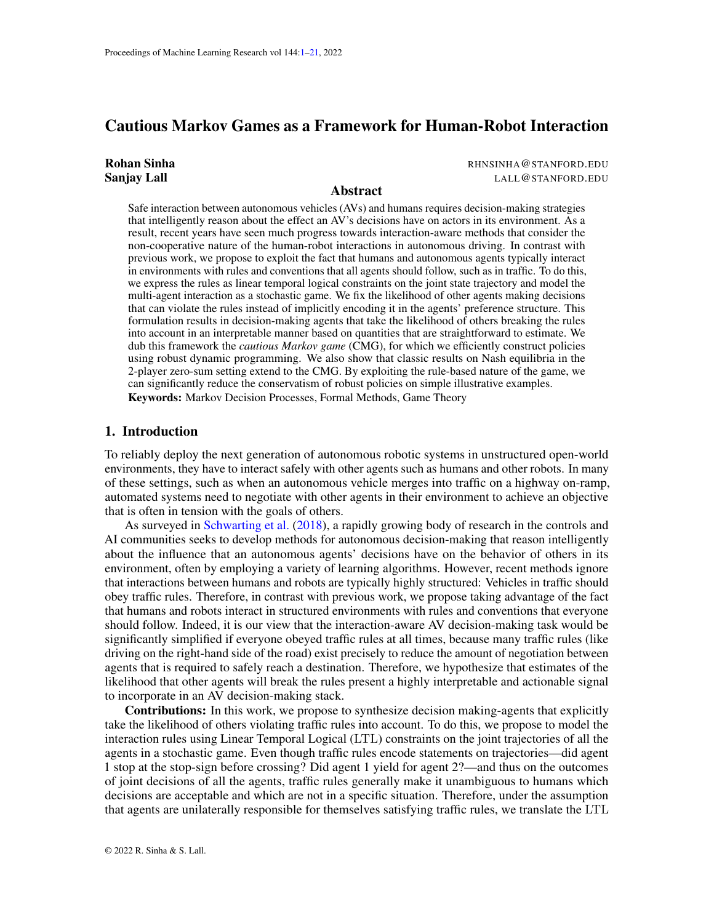# <span id="page-0-0"></span>Cautious Markov Games as a Framework for Human-Robot Interaction

| Rohan Sinha        |  |
|--------------------|--|
| <b>Sanjay Lall</b> |  |

RHNSINHA@STANFORD.EDU LALL@STANFORD.EDU

## Abstract

Safe interaction between autonomous vehicles (AVs) and humans requires decision-making strategies that intelligently reason about the effect an AV's decisions have on actors in its environment. As a result, recent years have seen much progress towards interaction-aware methods that consider the non-cooperative nature of the human-robot interactions in autonomous driving. In contrast with previous work, we propose to exploit the fact that humans and autonomous agents typically interact in environments with rules and conventions that all agents should follow, such as in traffic. To do this, we express the rules as linear temporal logical constraints on the joint state trajectory and model the multi-agent interaction as a stochastic game. We fix the likelihood of other agents making decisions that can violate the rules instead of implicitly encoding it in the agents' preference structure. This formulation results in decision-making agents that take the likelihood of others breaking the rules into account in an interpretable manner based on quantities that are straightforward to estimate. We dub this framework the *cautious Markov game* (CMG), for which we efficiently construct policies using robust dynamic programming. We also show that classic results on Nash equilibria in the 2-player zero-sum setting extend to the CMG. By exploiting the rule-based nature of the game, we can significantly reduce the conservatism of robust policies on simple illustrative examples. Keywords: Markov Decision Processes, Formal Methods, Game Theory

# 1. Introduction

To reliably deploy the next generation of autonomous robotic systems in unstructured open-world environments, they have to interact safely with other agents such as humans and other robots. In many of these settings, such as when an autonomous vehicle merges into traffic on a highway on-ramp, automated systems need to negotiate with other agents in their environment to achieve an objective that is often in tension with the goals of others.

As surveyed in [Schwarting et al.](#page-12-0) [\(2018\)](#page-12-0), a rapidly growing body of research in the controls and AI communities seeks to develop methods for autonomous decision-making that reason intelligently about the influence that an autonomous agents' decisions have on the behavior of others in its environment, often by employing a variety of learning algorithms. However, recent methods ignore that interactions between humans and robots are typically highly structured: Vehicles in traffic should obey traffic rules. Therefore, in contrast with previous work, we propose taking advantage of the fact that humans and robots interact in structured environments with rules and conventions that everyone should follow. Indeed, it is our view that the interaction-aware AV decision-making task would be significantly simplified if everyone obeyed traffic rules at all times, because many traffic rules (like driving on the right-hand side of the road) exist precisely to reduce the amount of negotiation between agents that is required to safely reach a destination. Therefore, we hypothesize that estimates of the likelihood that other agents will break the rules present a highly interpretable and actionable signal to incorporate in an AV decision-making stack.

Contributions: In this work, we propose to synthesize decision making-agents that explicitly take the likelihood of others violating traffic rules into account. To do this, we propose to model the interaction rules using Linear Temporal Logical (LTL) constraints on the joint trajectories of all the agents in a stochastic game. Even though traffic rules encode statements on trajectories—did agent 1 stop at the stop-sign before crossing? Did agent 1 yield for agent 2?—and thus on the outcomes of joint decisions of all the agents, traffic rules generally make it unambiguous to humans which decisions are acceptable and which are not in a specific situation. Therefore, under the assumption that agents are unilaterally responsible for themselves satisfying traffic rules, we translate the LTL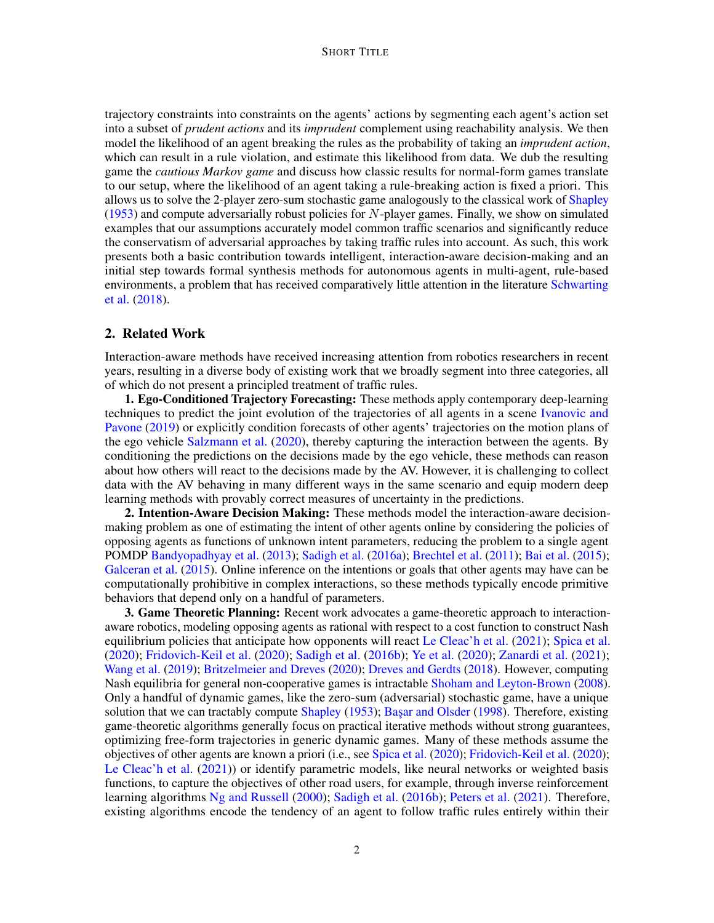#### SHORT TITLE

trajectory constraints into constraints on the agents' actions by segmenting each agent's action set into a subset of *prudent actions* and its *imprudent* complement using reachability analysis. We then model the likelihood of an agent breaking the rules as the probability of taking an *imprudent action*, which can result in a rule violation, and estimate this likelihood from data. We dub the resulting game the *cautious Markov game* and discuss how classic results for normal-form games translate to our setup, where the likelihood of an agent taking a rule-breaking action is fixed a priori. This allows us to solve the 2-player zero-sum stochastic game analogously to the classical work of [Shapley](#page-12-1)  $(1953)$  and compute adversarially robust policies for N-player games. Finally, we show on simulated examples that our assumptions accurately model common traffic scenarios and significantly reduce the conservatism of adversarial approaches by taking traffic rules into account. As such, this work presents both a basic contribution towards intelligent, interaction-aware decision-making and an initial step towards formal synthesis methods for autonomous agents in multi-agent, rule-based environments, a problem that has received comparatively little attention in the literature [Schwarting](#page-12-0) [et al.](#page-12-0) [\(2018\)](#page-12-0).

# 2. Related Work

Interaction-aware methods have received increasing attention from robotics researchers in recent years, resulting in a diverse body of existing work that we broadly segment into three categories, all of which do not present a principled treatment of traffic rules.

1. Ego-Conditioned Trajectory Forecasting: These methods apply contemporary deep-learning techniques to predict the joint evolution of the trajectories of all agents in a scene [Ivanovic and](#page-11-0) [Pavone](#page-11-0) [\(2019\)](#page-11-0) or explicitly condition forecasts of other agents' trajectories on the motion plans of the ego vehicle [Salzmann et al.](#page-12-2) [\(2020\)](#page-12-2), thereby capturing the interaction between the agents. By conditioning the predictions on the decisions made by the ego vehicle, these methods can reason about how others will react to the decisions made by the AV. However, it is challenging to collect data with the AV behaving in many different ways in the same scenario and equip modern deep learning methods with provably correct measures of uncertainty in the predictions.

2. Intention-Aware Decision Making: These methods model the interaction-aware decisionmaking problem as one of estimating the intent of other agents online by considering the policies of opposing agents as functions of unknown intent parameters, reducing the problem to a single agent POMDP [Bandyopadhyay et al.](#page-10-0) [\(2013\)](#page-10-0); [Sadigh et al.](#page-12-3) [\(2016a\)](#page-12-3); [Brechtel et al.](#page-10-1) [\(2011\)](#page-10-1); [Bai et al.](#page-10-2) [\(2015\)](#page-10-2); [Galceran et al.](#page-11-1) [\(2015\)](#page-11-1). Online inference on the intentions or goals that other agents may have can be computationally prohibitive in complex interactions, so these methods typically encode primitive behaviors that depend only on a handful of parameters.

3. Game Theoretic Planning: Recent work advocates a game-theoretic approach to interactionaware robotics, modeling opposing agents as rational with respect to a cost function to construct Nash equilibrium policies that anticipate how opponents will react [Le Cleac'h et al.](#page-11-2) [\(2021\)](#page-11-2); [Spica et al.](#page-12-4) [\(2020\)](#page-12-4); [Fridovich-Keil et al.](#page-11-3) [\(2020\)](#page-11-3); [Sadigh et al.](#page-12-5) [\(2016b\)](#page-12-5); [Ye et al.](#page-13-0) [\(2020\)](#page-13-0); [Zanardi et al.](#page-13-1) [\(2021\)](#page-13-1); [Wang et al.](#page-12-6) [\(2019\)](#page-12-6); [Britzelmeier and Dreves](#page-10-3) [\(2020\)](#page-10-3); [Dreves and Gerdts](#page-10-4) [\(2018\)](#page-10-4). However, computing Nash equilibria for general non-cooperative games is intractable [Shoham and Leyton-Brown](#page-12-7) [\(2008\)](#page-12-7). Only a handful of dynamic games, like the zero-sum (adversarial) stochastic game, have a unique solution that we can tractably compute [Shapley](#page-12-1) [\(1953\)](#page-12-1); Başar and Olsder [\(1998\)](#page-10-5). Therefore, existing game-theoretic algorithms generally focus on practical iterative methods without strong guarantees, optimizing free-form trajectories in generic dynamic games. Many of these methods assume the objectives of other agents are known a priori (i.e., see [Spica et al.](#page-12-4) [\(2020\)](#page-12-4); [Fridovich-Keil et al.](#page-11-3) [\(2020\)](#page-11-3); [Le Cleac'h et al.](#page-11-2) [\(2021\)](#page-11-2)) or identify parametric models, like neural networks or weighted basis functions, to capture the objectives of other road users, for example, through inverse reinforcement learning algorithms [Ng and Russell](#page-11-4) [\(2000\)](#page-11-4); [Sadigh et al.](#page-12-5) [\(2016b\)](#page-12-5); [Peters et al.](#page-11-5) [\(2021\)](#page-11-5). Therefore, existing algorithms encode the tendency of an agent to follow traffic rules entirely within their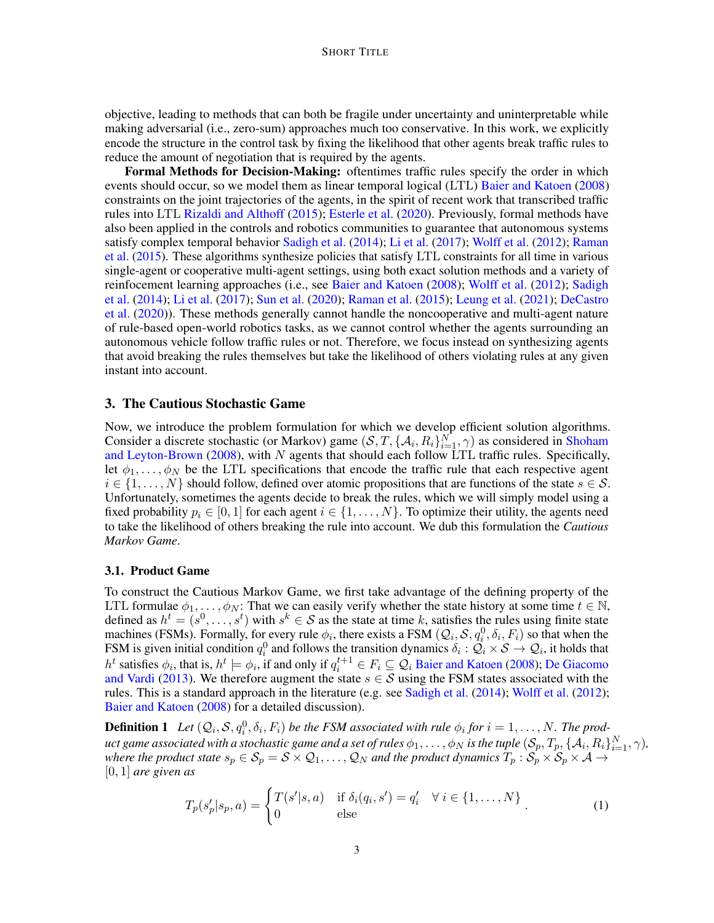objective, leading to methods that can both be fragile under uncertainty and uninterpretable while making adversarial (i.e., zero-sum) approaches much too conservative. In this work, we explicitly encode the structure in the control task by fixing the likelihood that other agents break traffic rules to reduce the amount of negotiation that is required by the agents.

Formal Methods for Decision-Making: oftentimes traffic rules specify the order in which events should occur, so we model them as linear temporal logical (LTL) [Baier and Katoen](#page-10-6) [\(2008\)](#page-10-6) constraints on the joint trajectories of the agents, in the spirit of recent work that transcribed traffic rules into LTL [Rizaldi and Althoff](#page-12-8) [\(2015\)](#page-12-8); [Esterle et al.](#page-11-6) [\(2020\)](#page-11-6). Previously, formal methods have also been applied in the controls and robotics communities to guarantee that autonomous systems satisfy complex temporal behavior [Sadigh et al.](#page-12-9) [\(2014\)](#page-12-9); [Li et al.](#page-11-7) [\(2017\)](#page-11-7); [Wolff et al.](#page-13-2) [\(2012\)](#page-13-2); [Raman](#page-11-8) [et al.](#page-11-8) [\(2015\)](#page-11-8). These algorithms synthesize policies that satisfy LTL constraints for all time in various single-agent or cooperative multi-agent settings, using both exact solution methods and a variety of reinfocement learning approaches (i.e., see [Baier and Katoen](#page-10-6) [\(2008\)](#page-10-6); [Wolff et al.](#page-13-2) [\(2012\)](#page-13-2); [Sadigh](#page-12-9) [et al.](#page-12-9) [\(2014\)](#page-12-9); [Li et al.](#page-11-7) [\(2017\)](#page-11-7); [Sun et al.](#page-12-10) [\(2020\)](#page-12-10); [Raman et al.](#page-11-8) [\(2015\)](#page-11-8); [Leung et al.](#page-11-9) [\(2021\)](#page-11-9); [DeCastro](#page-10-7) [et al.](#page-10-7) [\(2020\)](#page-10-7)). These methods generally cannot handle the noncooperative and multi-agent nature of rule-based open-world robotics tasks, as we cannot control whether the agents surrounding an autonomous vehicle follow traffic rules or not. Therefore, we focus instead on synthesizing agents that avoid breaking the rules themselves but take the likelihood of others violating rules at any given instant into account.

# <span id="page-2-0"></span>3. The Cautious Stochastic Game

Now, we introduce the problem formulation for which we develop efficient solution algorithms. Consider a discrete stochastic (or Markov) game  $(S, T, \{A_i, R_i\}_{i=1}^N, \gamma)$  as considered in [Shoham](#page-12-7) [and Leyton-Brown](#page-12-7) [\(2008\)](#page-12-7), with  $N$  agents that should each follow LTL traffic rules. Specifically, let  $\phi_1, \ldots, \phi_N$  be the LTL specifications that encode the traffic rule that each respective agent  $i \in \{1, \ldots, N\}$  should follow, defined over atomic propositions that are functions of the state  $s \in \mathcal{S}$ . Unfortunately, sometimes the agents decide to break the rules, which we will simply model using a fixed probability  $p_i \in [0, 1]$  for each agent  $i \in \{1, \ldots, N\}$ . To optimize their utility, the agents need to take the likelihood of others breaking the rule into account. We dub this formulation the *Cautious Markov Game*.

## 3.1. Product Game

To construct the Cautious Markov Game, we first take advantage of the defining property of the LTL formulae  $\phi_1, \ldots, \phi_N$ : That we can easily verify whether the state history at some time  $t \in \mathbb{N}$ , defined as  $h^t = (s^0, \ldots, s^t)$  with  $s^k \in S$  as the state at time k, satisfies the rules using finite state machines (FSMs). Formally, for every rule  $\phi_i$ , there exists a FSM  $(Q_i, S, q_i^0, \delta_i, F_i)$  so that when the FSM is given initial condition  $q_i^0$  and follows the transition dynamics  $\delta_i$ :  $\mathcal{Q}_i \times \mathcal{S} \to \mathcal{Q}_i$ , it holds that  $h^t$  satisfies  $\phi_i$ , that is,  $h^t \models \phi_i$ , if and only if  $q_i^{t+1} \in F_i \subseteq \mathcal{Q}_i$  [Baier and Katoen](#page-10-6) [\(2008\)](#page-10-6); [De Giacomo](#page-10-8) [and Vardi](#page-10-8) [\(2013\)](#page-10-8). We therefore augment the state  $s \in S$  using the FSM states associated with the rules. This is a standard approach in the literature (e.g. see [Sadigh et al.](#page-12-9) [\(2014\)](#page-12-9); [Wolff et al.](#page-13-2) [\(2012\)](#page-13-2); [Baier and Katoen](#page-10-6) [\(2008\)](#page-10-6) for a detailed discussion).

**Definition 1** Let  $(Q_i, S, q_i^0, \delta_i, F_i)$  be the FSM associated with rule  $\phi_i$  for  $i = 1, ..., N$ . The product game associated with a stochastic game and a set of rules  $\phi_1,\dots,\phi_N$  is the tuple  $(\mathcal{S}_p,T_p,\{\mathcal{A}_i,R_i\}_{i=1}^N,\gamma),$ *where the product state*  $s_p \in \mathcal{S}_p = \mathcal{S} \times \mathcal{Q}_1, \ldots, \mathcal{Q}_N$  *and the product dynamics*  $T_p : \mathcal{S}_p \times \mathcal{S}_p \times \mathcal{A} \rightarrow \mathcal{S}_p$ [0, 1] *are given as*

<span id="page-2-1"></span>
$$
T_p(s_p'|s_p, a) = \begin{cases} T(s'|s, a) & \text{if } \delta_i(q_i, s') = q_i' & \forall i \in \{1, ..., N\} \\ 0 & \text{else} \end{cases}
$$
 (1)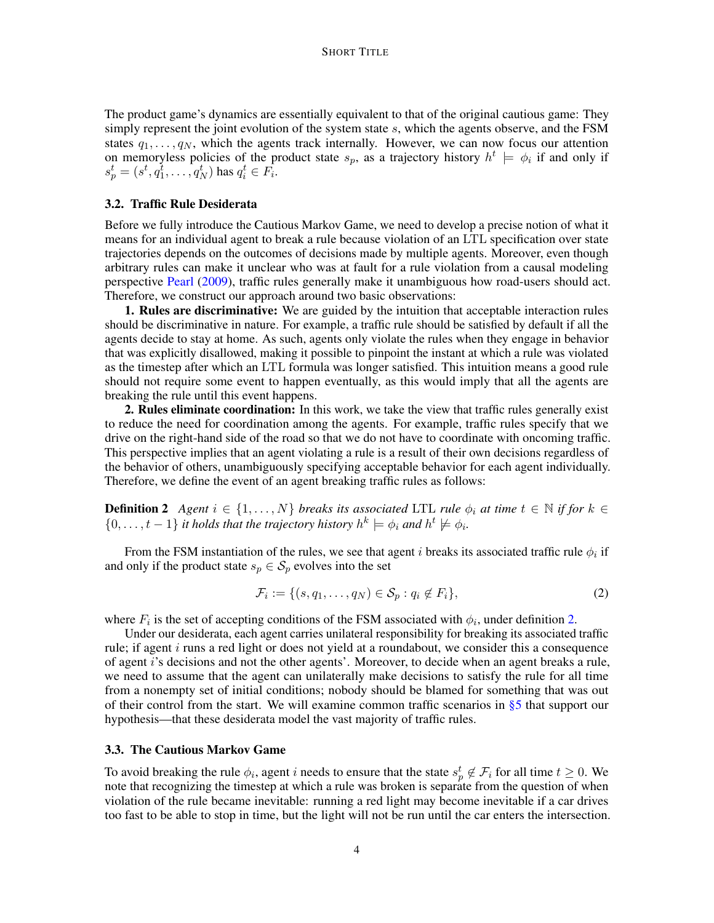The product game's dynamics are essentially equivalent to that of the original cautious game: They simply represent the joint evolution of the system state  $s$ , which the agents observe, and the FSM states  $q_1, \ldots, q_N$ , which the agents track internally. However, we can now focus our attention on memoryless policies of the product state  $s_p$ , as a trajectory history  $h^t \models \phi_i$  if and only if  $s_p^t = (s^t, q_1^t, \ldots, q_N^t)$  has  $q_i^t \in F_i$ .

## 3.2. Traffic Rule Desiderata

Before we fully introduce the Cautious Markov Game, we need to develop a precise notion of what it means for an individual agent to break a rule because violation of an LTL specification over state trajectories depends on the outcomes of decisions made by multiple agents. Moreover, even though arbitrary rules can make it unclear who was at fault for a rule violation from a causal modeling perspective [Pearl](#page-11-10) [\(2009\)](#page-11-10), traffic rules generally make it unambiguous how road-users should act. Therefore, we construct our approach around two basic observations:

1. Rules are discriminative: We are guided by the intuition that acceptable interaction rules should be discriminative in nature. For example, a traffic rule should be satisfied by default if all the agents decide to stay at home. As such, agents only violate the rules when they engage in behavior that was explicitly disallowed, making it possible to pinpoint the instant at which a rule was violated as the timestep after which an LTL formula was longer satisfied. This intuition means a good rule should not require some event to happen eventually, as this would imply that all the agents are breaking the rule until this event happens.

2. Rules eliminate coordination: In this work, we take the view that traffic rules generally exist to reduce the need for coordination among the agents. For example, traffic rules specify that we drive on the right-hand side of the road so that we do not have to coordinate with oncoming traffic. This perspective implies that an agent violating a rule is a result of their own decisions regardless of the behavior of others, unambiguously specifying acceptable behavior for each agent individually. Therefore, we define the event of an agent breaking traffic rules as follows:

<span id="page-3-0"></span>**Definition 2** *Agent*  $i \in \{1, ..., N\}$  *breaks its associated* LTL *rule*  $\phi_i$  *at time*  $t \in \mathbb{N}$  *if for*  $k \in \mathbb{N}$  $\{0, \ldots, t-1\}$  *it holds that the trajectory history*  $h^k \models \phi_i$  *and*  $h^t \not\models \phi_i$ *.* 

From the FSM instantiation of the rules, we see that agent i breaks its associated traffic rule  $\phi_i$  if and only if the product state  $s_p \in S_p$  evolves into the set

$$
\mathcal{F}_i := \{ (s, q_1, \dots, q_N) \in \mathcal{S}_p : q_i \notin F_i \},\tag{2}
$$

where  $F_i$  is the set of accepting conditions of the FSM associated with  $\phi_i$ , under definition [2.](#page-3-0)

Under our desiderata, each agent carries unilateral responsibility for breaking its associated traffic rule; if agent  $i$  runs a red light or does not yield at a roundabout, we consider this a consequence of agent i's decisions and not the other agents'. Moreover, to decide when an agent breaks a rule, we need to assume that the agent can unilaterally make decisions to satisfy the rule for all time from a nonempty set of initial conditions; nobody should be blamed for something that was out of their control from the start. We will examine common traffic scenarios in [§5](#page-8-0) that support our hypothesis—that these desiderata model the vast majority of traffic rules.

## 3.3. The Cautious Markov Game

To avoid breaking the rule  $\phi_i$ , agent i needs to ensure that the state  $s_p^t \notin \mathcal{F}_i$  for all time  $t \geq 0$ . We note that recognizing the timestep at which a rule was broken is separate from the question of when violation of the rule became inevitable: running a red light may become inevitable if a car drives too fast to be able to stop in time, but the light will not be run until the car enters the intersection.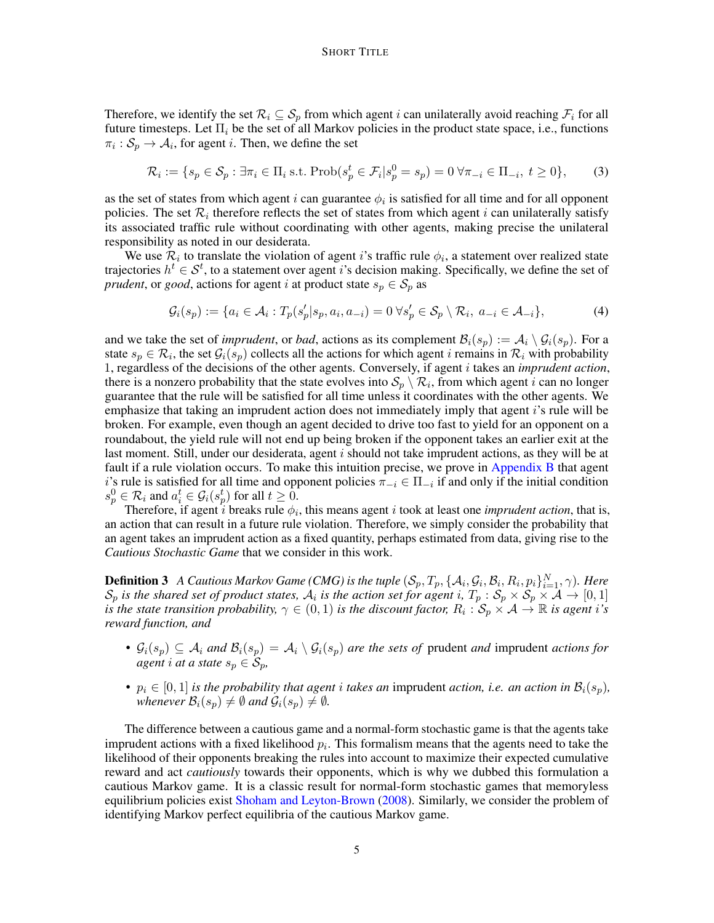Therefore, we identify the set  $\mathcal{R}_i \subseteq \mathcal{S}_p$  from which agent i can unilaterally avoid reaching  $\mathcal{F}_i$  for all future timesteps. Let  $\Pi_i$  be the set of all Markov policies in the product state space, i.e., functions  $\pi_i : S_p \to A_i$ , for agent *i*. Then, we define the set

<span id="page-4-0"></span>
$$
\mathcal{R}_i := \{ s_p \in \mathcal{S}_p : \exists \pi_i \in \Pi_i \text{ s.t. } \text{Prob}(s_p^t \in \mathcal{F}_i | s_p^0 = s_p) = 0 \,\forall \pi_{-i} \in \Pi_{-i}, \ t \ge 0 \},\tag{3}
$$

as the set of states from which agent i can guarantee  $\phi_i$  is satisfied for all time and for all opponent policies. The set  $\mathcal{R}_i$  therefore reflects the set of states from which agent i can unilaterally satisfy its associated traffic rule without coordinating with other agents, making precise the unilateral responsibility as noted in our desiderata.

We use  $\mathcal{R}_i$  to translate the violation of agent i's traffic rule  $\phi_i$ , a statement over realized state trajectories  $h^t \in S^t$ , to a statement over agent i's decision making. Specifically, we define the set of *prudent*, or *good*, actions for agent *i* at product state  $s_p \in S_p$  as

<span id="page-4-2"></span>
$$
\mathcal{G}_i(s_p) := \{ a_i \in \mathcal{A}_i : T_p(s_p'|s_p, a_i, a_{-i}) = 0 \,\forall s_p' \in \mathcal{S}_p \setminus \mathcal{R}_i, \ a_{-i} \in \mathcal{A}_{-i} \},\tag{4}
$$

and we take the set of *imprudent*, or *bad*, actions as its complement  $\mathcal{B}_i(s_p) := \mathcal{A}_i \setminus \mathcal{G}_i(s_p)$ . For a state  $s_p \in \mathcal{R}_i$ , the set  $\mathcal{G}_i(s_p)$  collects all the actions for which agent i remains in  $\mathcal{R}_i$  with probability 1, regardless of the decisions of the other agents. Conversely, if agent i takes an *imprudent action*, there is a nonzero probability that the state evolves into  $S_p \setminus \mathcal{R}_i$ , from which agent i can no longer guarantee that the rule will be satisfied for all time unless it coordinates with the other agents. We emphasize that taking an imprudent action does not immediately imply that agent i's rule will be broken. For example, even though an agent decided to drive too fast to yield for an opponent on a roundabout, the yield rule will not end up being broken if the opponent takes an earlier exit at the last moment. Still, under our desiderata, agent  $i$  should not take imprudent actions, as they will be at fault if a rule violation occurs. To make this intuition precise, we prove in [Appendix B](#page-14-0) that agent i's rule is satisfied for all time and opponent policies  $\pi_{-i} \in \Pi_{-i}$  if and only if the initial condition  $s_p^0 \in \mathcal{R}_i$  and  $a_i^t \in \mathcal{G}_i(s_p^t)$  for all  $t \geq 0$ .

Therefore, if agent  $i$  breaks rule  $\phi_i$ , this means agent  $i$  took at least one *imprudent action*, that is, an action that can result in a future rule violation. Therefore, we simply consider the probability that an agent takes an imprudent action as a fixed quantity, perhaps estimated from data, giving rise to the *Cautious Stochastic Game* that we consider in this work.

**Definition 3** *A Cautious Markov Game (CMG) is the tuple*  $(S_p, T_p, \{A_i, G_i, B_i, R_i, p_i\}_{i=1}^N, \gamma)$ *. Here*  $S_p$  is the shared set of product states,  $A_i$  is the action set for agent i,  $T_p$ :  $S_p \times S_p \times A \to [0,1]$ *is the state transition probability,*  $\gamma \in (0,1)$  *is the discount factor,*  $R_i: S_p \times A \to \mathbb{R}$  *is agent i's reward function, and*

- $G_i(s_p) \subseteq A_i$  and  $B_i(s_p) = A_i \setminus G_i(s_p)$  are the sets of prudent *and* imprudent *actions for agent i at a state*  $s_p \in S_p$ *,*
- $p_i \in [0,1]$  *is the probability that agent i takes an* imprudent *action, i.e. an action in*  $\mathcal{B}_i(s_p)$ *, whenever*  $\mathcal{B}_i(s_p) \neq \emptyset$  *and*  $\mathcal{G}_i(s_p) \neq \emptyset$ *.*

<span id="page-4-1"></span>The difference between a cautious game and a normal-form stochastic game is that the agents take imprudent actions with a fixed likelihood  $p_i$ . This formalism means that the agents need to take the likelihood of their opponents breaking the rules into account to maximize their expected cumulative reward and act *cautiously* towards their opponents, which is why we dubbed this formulation a cautious Markov game. It is a classic result for normal-form stochastic games that memoryless equilibrium policies exist [Shoham and Leyton-Brown](#page-12-7) [\(2008\)](#page-12-7). Similarly, we consider the problem of identifying Markov perfect equilibria of the cautious Markov game.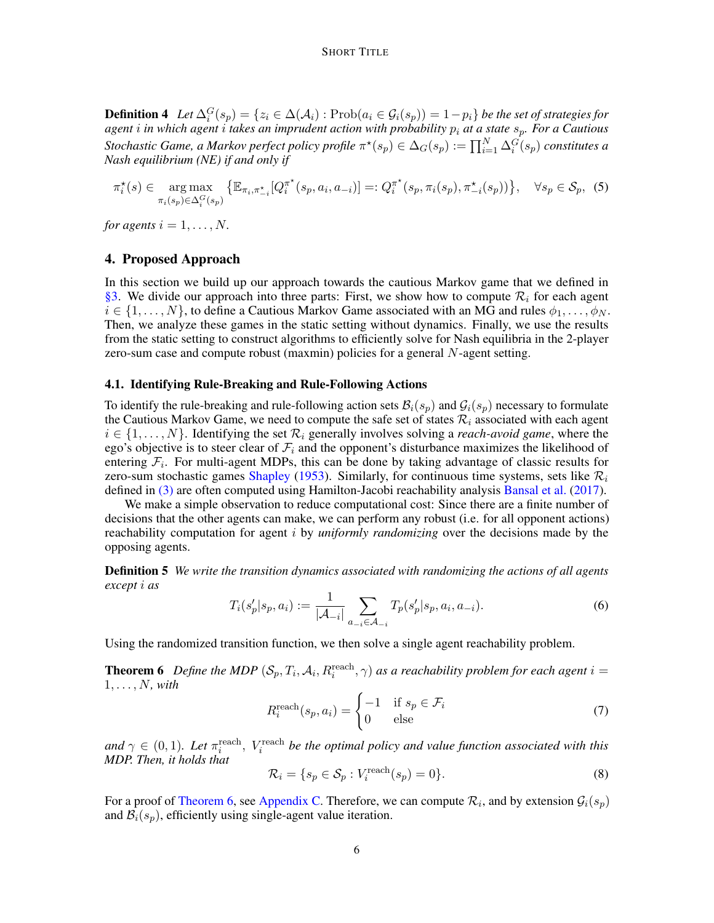**Definition 4** Let  $\Delta_i^G(s_p) = \{z_i \in \Delta(\mathcal{A}_i) : \text{Prob}(a_i \in \mathcal{G}_i(s_p)) = 1 - p_i\}$  be the set of strategies for *agent* i *in which agent* i *takes an imprudent action with probability* p<sup>i</sup> *at a state* sp*. For a Cautious Stochastic Game, a Markov perfect policy profile*  $\pi^*(s_p) \in \Delta_G(s_p) := \prod_{i=1}^N \Delta_i^G(s_p)$  *constitutes a Nash equilibrium (NE) if and only if*

$$
\pi_i^*(s) \in \underset{\pi_i(s_p) \in \Delta_i^G(s_p)}{\arg \max} \{ \mathbb{E}_{\pi_i, \pi_{-i}^*}[Q_i^{\pi^*}(s_p, a_i, a_{-i})] =: Q_i^{\pi^*}(s_p, \pi_i(s_p), \pi_{-i}^*(s_p)) \}, \quad \forall s_p \in \mathcal{S}_p, \tag{5}
$$

*for agents*  $i = 1, \ldots, N$ .

## 4. Proposed Approach

In this section we build up our approach towards the cautious Markov game that we defined in [§3.](#page-2-0) We divide our approach into three parts: First, we show how to compute  $\mathcal{R}_i$  for each agent  $i \in \{1, \ldots, N\}$ , to define a Cautious Markov Game associated with an MG and rules  $\phi_1, \ldots, \phi_N$ . Then, we analyze these games in the static setting without dynamics. Finally, we use the results from the static setting to construct algorithms to efficiently solve for Nash equilibria in the 2-player zero-sum case and compute robust (maxmin) policies for a general N-agent setting.

## 4.1. Identifying Rule-Breaking and Rule-Following Actions

To identify the rule-breaking and rule-following action sets  $\mathcal{B}_i(s_n)$  and  $\mathcal{G}_i(s_n)$  necessary to formulate the Cautious Markov Game, we need to compute the safe set of states  $\mathcal{R}_i$  associated with each agent  $i \in \{1, \ldots, N\}$ . Identifying the set  $\mathcal{R}_i$  generally involves solving a *reach-avoid game*, where the ego's objective is to steer clear of  $\mathcal{F}_i$  and the opponent's disturbance maximizes the likelihood of entering  $\mathcal{F}_i$ . For multi-agent MDPs, this can be done by taking advantage of classic results for zero-sum stochastic games [Shapley](#page-12-1) [\(1953\)](#page-12-1). Similarly, for continuous time systems, sets like  $\mathcal{R}_i$ defined in [\(3\)](#page-4-0) are often computed using Hamilton-Jacobi reachability analysis [Bansal et al.](#page-10-9) [\(2017\)](#page-10-9).

We make a simple observation to reduce computational cost: Since there are a finite number of decisions that the other agents can make, we can perform any robust (i.e. for all opponent actions) reachability computation for agent i by *uniformly randomizing* over the decisions made by the opposing agents.

Definition 5 *We write the transition dynamics associated with randomizing the actions of all agents except* i *as*

$$
T_i(s_p'|s_p, a_i) := \frac{1}{|\mathcal{A}_{-i}|} \sum_{a_{-i} \in \mathcal{A}_{-i}} T_p(s_p'|s_p, a_i, a_{-i}).
$$
\n(6)

<span id="page-5-0"></span>Using the randomized transition function, we then solve a single agent reachability problem.

**Theorem 6** Define the MDP  $(S_p, T_i, A_i, R_i^{\text{reach}}, \gamma)$  as a reachability problem for each agent  $i =$ 1, . . . , N*, with*

$$
R_i^{\text{reach}}(s_p, a_i) = \begin{cases} -1 & \text{if } s_p \in \mathcal{F}_i \\ 0 & \text{else} \end{cases} \tag{7}
$$

and  $\gamma \in (0,1)$ *. Let*  $\pi_i^{\text{reach}}$ *, V*<sub>i</sub><sup>reach</sup> *be the optimal policy and value function associated with this MDP. Then, it holds that*

$$
\mathcal{R}_i = \{ s_p \in \mathcal{S}_p : V_i^{\text{reach}}(s_p) = 0 \}. \tag{8}
$$

For a proof of [Theorem 6,](#page-5-0) see [Appendix C.](#page-14-1) Therefore, we can compute  $\mathcal{R}_i$ , and by extension  $\mathcal{G}_i(s_p)$ and  $\mathcal{B}_i(s_p)$ , efficiently using single-agent value iteration.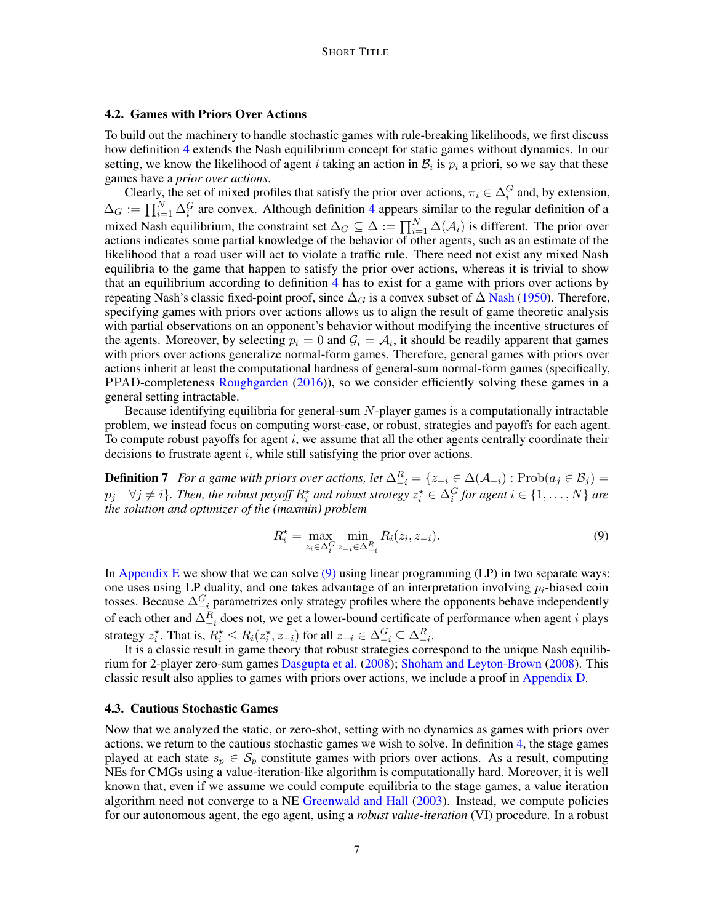### 4.2. Games with Priors Over Actions

To build out the machinery to handle stochastic games with rule-breaking likelihoods, we first discuss how definition [4](#page-4-1) extends the Nash equilibrium concept for static games without dynamics. In our setting, we know the likelihood of agent i taking an action in  $B_i$  is  $p_i$  a priori, so we say that these games have a *prior over actions*.

Clearly, the set of mixed profiles that satisfy the prior over actions,  $\pi_i \in \Delta_i^G$  and, by extension,  $\Delta_G := \prod_{i=1}^N \Delta_i^G$  are convex. Although definition [4](#page-4-1) appears similar to the regular definition of a mixed Nash equilibrium, the constraint set  $\Delta_G \subseteq \Delta := \prod_{i=1}^N \Delta(\mathcal{A}_i)$  is different. The prior over actions indicates some partial knowledge of the behavior of other agents, such as an estimate of the likelihood that a road user will act to violate a traffic rule. There need not exist any mixed Nash equilibria to the game that happen to satisfy the prior over actions, whereas it is trivial to show that an equilibrium according to definition [4](#page-4-1) has to exist for a game with priors over actions by repeating [Nash](#page-11-11)'s classic fixed-point proof, since  $\Delta_G$  is a convex subset of  $\Delta$  Nash [\(1950\)](#page-11-11). Therefore, specifying games with priors over actions allows us to align the result of game theoretic analysis with partial observations on an opponent's behavior without modifying the incentive structures of the agents. Moreover, by selecting  $p_i = 0$  and  $\mathcal{G}_i = \mathcal{A}_i$ , it should be readily apparent that games with priors over actions generalize normal-form games. Therefore, general games with priors over actions inherit at least the computational hardness of general-sum normal-form games (specifically, PPAD-completeness [Roughgarden](#page-12-11) [\(2016\)](#page-12-11)), so we consider efficiently solving these games in a general setting intractable.

Because identifying equilibria for general-sum  $N$ -player games is a computationally intractable problem, we instead focus on computing worst-case, or robust, strategies and payoffs for each agent. To compute robust payoffs for agent  $i$ , we assume that all the other agents centrally coordinate their decisions to frustrate agent  $i$ , while still satisfying the prior over actions.

**Definition 7** For a game with priors over actions, let  $\Delta_{-i}^R = \{z_{-i} \in \Delta(\mathcal{A}_{-i}) : \text{Prob}(a_j \in \mathcal{B}_j) =$  $p_j \quad \forall j \neq i$ *}. Then, the robust payoff*  $R_i^{\star}$  *and robust strategy*  $z_i^{\star} \in \Delta_i^G$  *for agent*  $i \in \{1, \ldots, N\}$  *are the solution and optimizer of the (maxmin) problem*

<span id="page-6-1"></span><span id="page-6-0"></span>
$$
R_i^* = \max_{z_i \in \Delta_i^G} \min_{z_{-i} \in \Delta_{-i}^R} R_i(z_i, z_{-i}).
$$
\n(9)

In [Appendix E](#page-16-0) we show that we can solve  $(9)$  using linear programming  $(LP)$  in two separate ways: one uses using LP duality, and one takes advantage of an interpretation involving  $p_i$ -biased coin tosses. Because  $\Delta_{-i}^G$  parametrizes only strategy profiles where the opponents behave independently of each other and  $\Delta_{-i}^R$  does not, we get a lower-bound certificate of performance when agent *i* plays strategy  $z_i^*$ . That is,  $R_i^* \leq R_i(z_i^*, z_{-i})$  for all  $z_{-i} \in \Delta_{-i}^G \subseteq \Delta_{-i}^R$ .

It is a classic result in game theory that robust strategies correspond to the unique Nash equilibrium for 2-player zero-sum games [Dasgupta et al.](#page-10-10) [\(2008\)](#page-10-10); [Shoham and Leyton-Brown](#page-12-7) [\(2008\)](#page-12-7). This classic result also applies to games with priors over actions, we include a proof in [Appendix D.](#page-15-0)

#### 4.3. Cautious Stochastic Games

Now that we analyzed the static, or zero-shot, setting with no dynamics as games with priors over actions, we return to the cautious stochastic games we wish to solve. In definition [4,](#page-4-1) the stage games played at each state  $s_p \in S_p$  constitute games with priors over actions. As a result, computing NEs for CMGs using a value-iteration-like algorithm is computationally hard. Moreover, it is well known that, even if we assume we could compute equilibria to the stage games, a value iteration algorithm need not converge to a NE [Greenwald and Hall](#page-11-12) [\(2003\)](#page-11-12). Instead, we compute policies for our autonomous agent, the ego agent, using a *robust value-iteration* (VI) procedure. In a robust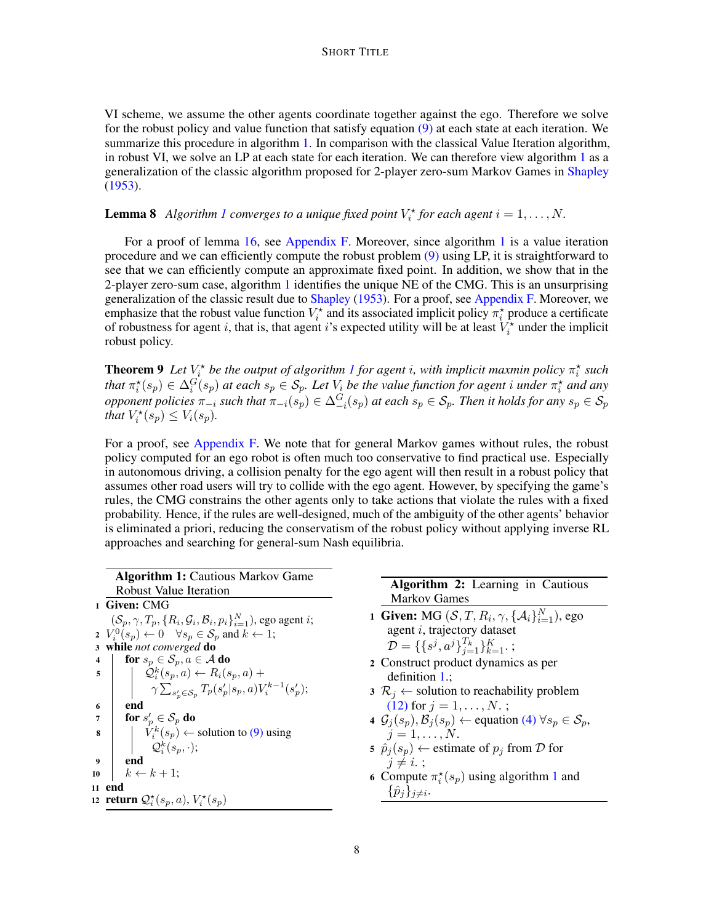VI scheme, we assume the other agents coordinate together against the ego. Therefore we solve for the robust policy and value function that satisfy equation [\(9\)](#page-6-0) at each state at each iteration. We summarize this procedure in algorithm [1.](#page-7-0) In comparison with the classical Value Iteration algorithm, in robust VI, we solve an LP at each state for each iteration. We can therefore view algorithm [1](#page-7-0) as a generalization of the classic algorithm proposed for 2-player zero-sum Markov Games in [Shapley](#page-12-1) [\(1953\)](#page-12-1).

# **Lemma 8** Algorithm [1](#page-7-0) converges to a unique fixed point  $V_i^*$  for each agent  $i = 1, ..., N$ .

For a proof of lemma [16,](#page-18-0) see [Appendix F.](#page-18-1) Moreover, since algorithm [1](#page-7-0) is a value iteration procedure and we can efficiently compute the robust problem [\(9\)](#page-6-0) using LP, it is straightforward to see that we can efficiently compute an approximate fixed point. In addition, we show that in the 2-player zero-sum case, algorithm [1](#page-7-0) identifies the unique NE of the CMG. This is an unsurprising generalization of the classic result due to [Shapley](#page-12-1) [\(1953\)](#page-12-1). For a proof, see [Appendix F.](#page-18-1) Moreover, we emphasize that the robust value function  $V_i^*$  and its associated implicit policy  $\pi_i^*$  produce a certificate of robustness for agent i, that is, that agent i's expected utility will be at least  $V_i^*$  under the implicit robust policy.

**Theorem 9** Let  $V_i^*$  be the output of algorithm [1](#page-7-0) for agent *i*, with implicit maxmin policy  $\pi_i^*$  such that  $\pi_i^*(s_p) \in \Delta_i^G(s_p)$  at each  $s_p \in S_p$ . Let  $V_i$  be the value function for agent i under  $\pi_i^*$  and any *opponent policies*  $\pi_{-i}$  *such that*  $\pi_{-i}(s_p) \in \Delta_{-i}^G(s_p)$  *at each*  $s_p \in S_p$ *. Then it holds for any*  $s_p \in S_p$ *that*  $V_i^*(s_p) \leq V_i(s_p)$ .

For a proof, see [Appendix F.](#page-18-1) We note that for general Markov games without rules, the robust policy computed for an ego robot is often much too conservative to find practical use. Especially in autonomous driving, a collision penalty for the ego agent will then result in a robust policy that assumes other road users will try to collide with the ego agent. However, by specifying the game's rules, the CMG constrains the other agents only to take actions that violate the rules with a fixed probability. Hence, if the rules are well-designed, much of the ambiguity of the other agents' behavior is eliminated a priori, reducing the conservatism of the robust policy without applying inverse RL approaches and searching for general-sum Nash equilibria.

<span id="page-7-1"></span><span id="page-7-0"></span>

|                  | <b>Algorithm 1: Cautious Markov Game</b>                                                                                                                                                  |                                                                                                      |
|------------------|-------------------------------------------------------------------------------------------------------------------------------------------------------------------------------------------|------------------------------------------------------------------------------------------------------|
|                  | <b>Robust Value Iteration</b>                                                                                                                                                             | <b>Algorithm 2:</b> Learning in Cautious                                                             |
|                  | 1 Given: CMG                                                                                                                                                                              | <b>Markov Games</b>                                                                                  |
|                  | $(S_n, \gamma, T_n, \{R_i, \mathcal{G}_i, \mathcal{B}_i, p_i\}_{i=1}^N)$ , ego agent <i>i</i> ;<br>2 $V_i^0(s_p) \leftarrow 0 \quad \forall s_p \in \mathcal{S}_p$ and $k \leftarrow 1$ ; | 1 Given: MG $(S, T, R_i, \gamma, \{A_i\}_{i=1}^N)$ , ego<br>agent <i>i</i> , trajectory dataset      |
|                  | 3 while not converged do                                                                                                                                                                  | $\mathcal{D} = \{\{s^j, a^j\}_{i=1}^{T_k}\}_{k=1}^K$ ;                                               |
|                  | for $s_p \in S_p$ , $a \in A$ do                                                                                                                                                          | 2 Construct product dynamics as per                                                                  |
|                  | $\mathfrak{s}$   $\mathcal{Q}_i^k(s_p, a) \leftarrow R_i(s_p, a) +$                                                                                                                       | definition $1$ .;                                                                                    |
|                  | $\gamma \sum_{s'_{n} \in S_{n}} T_{p}(s'_{p}   s_{p}, a) V_{i}^{k-1}(s'_{p});$                                                                                                            | $3 \mathcal{R}_i \leftarrow$ solution to reachability problem                                        |
| 6                | end                                                                                                                                                                                       | $(12)$ for $j = 1, , N$ .;                                                                           |
| $7\overline{ }$  | for $s'_p \in \mathcal{S}_p$ do                                                                                                                                                           | 4 $\mathcal{G}_i(s_p), \mathcal{B}_i(s_p) \leftarrow$ equation (4) $\forall s_p \in \mathcal{S}_p$ , |
| $\bf{8}$         | $\left  V_i^k(s_p) \leftarrow$ solution to (9) using                                                                                                                                      | $j=1,\ldots,N.$                                                                                      |
|                  | $\mathcal{Q}_i^k(s_p, \cdot);$                                                                                                                                                            | 5 $\hat{p}_i(s_p)$ $\leftarrow$ estimate of $p_i$ from D for                                         |
| $\boldsymbol{9}$ | end                                                                                                                                                                                       | $i \neq i$ .                                                                                         |
| 10               | $k \leftarrow k+1$ ;                                                                                                                                                                      | 6 Compute $\pi_i^*(s_p)$ using algorithm 1 and                                                       |
|                  | 11 end                                                                                                                                                                                    | $\{\hat{p}_i\}_{i\neq i}$ .                                                                          |
|                  | 12 return $\mathcal{Q}_i^{\star}(s_p, a)$ , $V_i^{\star}(s_p)$                                                                                                                            |                                                                                                      |
|                  |                                                                                                                                                                                           |                                                                                                      |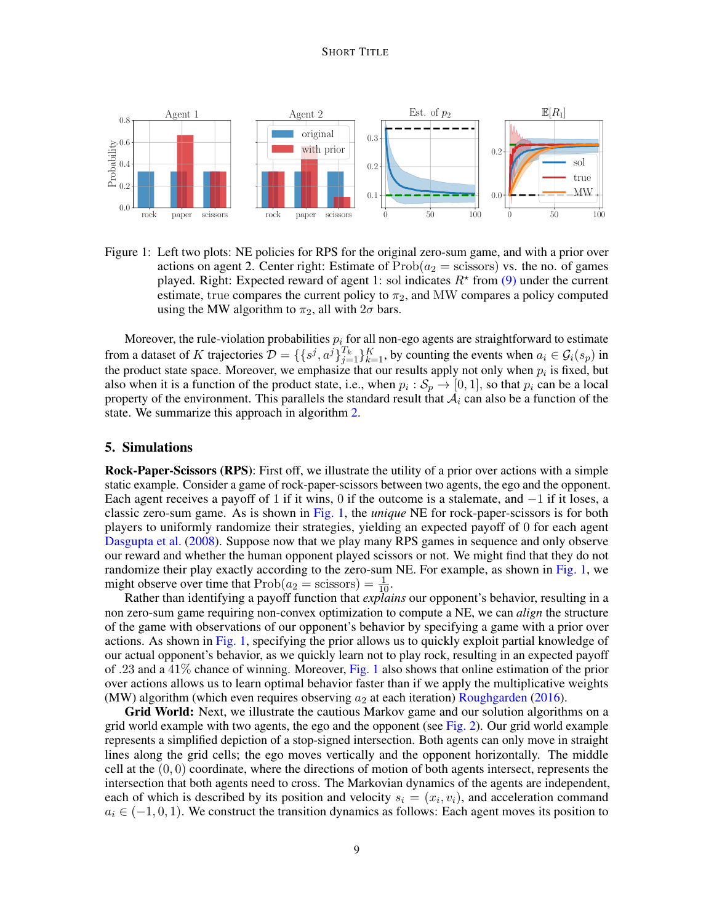#### SHORT TITLE



<span id="page-8-1"></span>Figure 1: Left two plots: NE policies for RPS for the original zero-sum game, and with a prior over actions on agent 2. Center right: Estimate of  $Prob(a_2 = \text{scissors})$  vs. the no. of games played. Right: Expected reward of agent 1: sol indicates  $R^*$  from [\(9\)](#page-6-0) under the current estimate, true compares the current policy to  $\pi_2$ , and MW compares a policy computed using the MW algorithm to  $\pi_2$ , all with  $2\sigma$  bars.

Moreover, the rule-violation probabilities  $p_i$  for all non-ego agents are straightforward to estimate from a dataset of K trajectories  $\mathcal{D} = \{\{s^j, a^j\}_{j=1}^{T_k}\}_{k=1}^K$ , by counting the events when  $a_i \in \mathcal{G}_i(s_p)$  in the product state space. Moreover, we emphasize that our results apply not only when  $p_i$  is fixed, but also when it is a function of the product state, i.e., when  $p_i : S_p \to [0, 1]$ , so that  $p_i$  can be a local property of the environment. This parallels the standard result that  $A_i$  can also be a function of the state. We summarize this approach in algorithm [2.](#page-7-1)

## <span id="page-8-0"></span>5. Simulations

Rock-Paper-Scissors (RPS): First off, we illustrate the utility of a prior over actions with a simple static example. Consider a game of rock-paper-scissors between two agents, the ego and the opponent. Each agent receives a payoff of 1 if it wins, 0 if the outcome is a stalemate, and  $-1$  if it loses, a classic zero-sum game. As is shown in [Fig. 1,](#page-8-1) the *unique* NE for rock-paper-scissors is for both players to uniformly randomize their strategies, yielding an expected payoff of 0 for each agent [Dasgupta et al.](#page-10-10) [\(2008\)](#page-10-10). Suppose now that we play many RPS games in sequence and only observe our reward and whether the human opponent played scissors or not. We might find that they do not randomize their play exactly according to the zero-sum NE. For example, as shown in [Fig. 1,](#page-8-1) we might observe over time that  $Prob(a_2 = \text{scissors}) = \frac{1}{10}$ .

Rather than identifying a payoff function that *explains* our opponent's behavior, resulting in a non zero-sum game requiring non-convex optimization to compute a NE, we can *align* the structure of the game with observations of our opponent's behavior by specifying a game with a prior over actions. As shown in [Fig. 1,](#page-8-1) specifying the prior allows us to quickly exploit partial knowledge of our actual opponent's behavior, as we quickly learn not to play rock, resulting in an expected payoff of .23 and a 41% chance of winning. Moreover, [Fig. 1](#page-8-1) also shows that online estimation of the prior over actions allows us to learn optimal behavior faster than if we apply the multiplicative weights (MW) algorithm (which even requires observing  $a_2$  at each iteration) [Roughgarden](#page-12-11) [\(2016\)](#page-12-11).

Grid World: Next, we illustrate the cautious Markov game and our solution algorithms on a grid world example with two agents, the ego and the opponent (see [Fig. 2\)](#page-9-0). Our grid world example represents a simplified depiction of a stop-signed intersection. Both agents can only move in straight lines along the grid cells; the ego moves vertically and the opponent horizontally. The middle cell at the  $(0, 0)$  coordinate, where the directions of motion of both agents intersect, represents the intersection that both agents need to cross. The Markovian dynamics of the agents are independent, each of which is described by its position and velocity  $s_i = (x_i, v_i)$ , and acceleration command  $a_i \in (-1, 0, 1)$ . We construct the transition dynamics as follows: Each agent moves its position to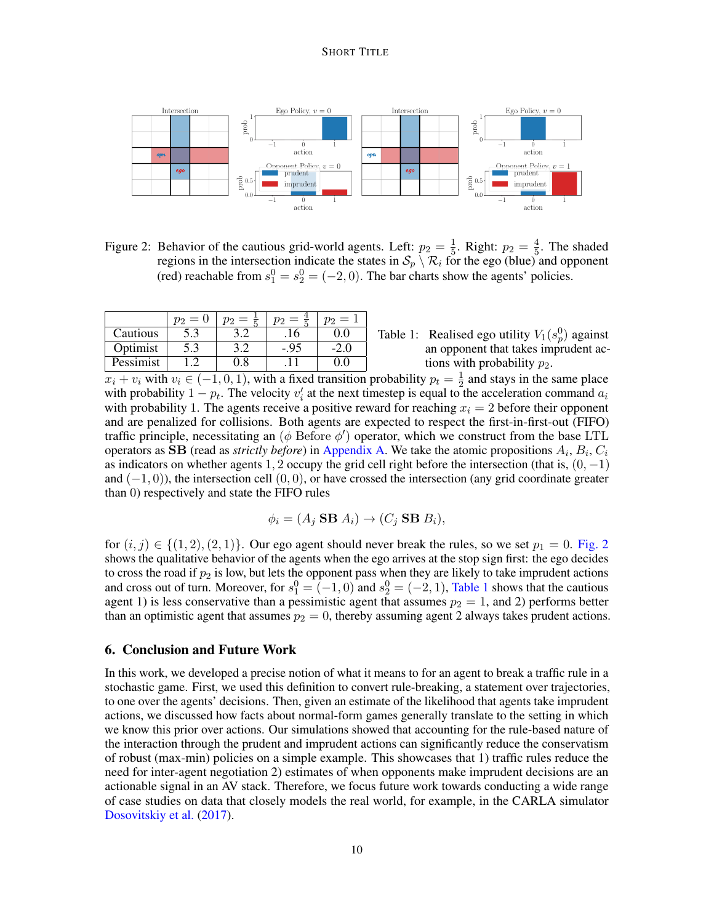### SHORT TITLE



<span id="page-9-0"></span>Figure 2: Behavior of the cautious grid-world agents. Left:  $p_2 = \frac{1}{5}$  $\frac{1}{5}$ . Right:  $p_2 = \frac{4}{5}$  $\frac{4}{5}$ . The shaded regions in the intersection indicate the states in  $S_p \setminus \mathcal{R}_i$  for the ego (blue) and opponent (red) reachable from  $s_1^0 = s_2^0 = (-2, 0)$ . The bar charts show the agents' policies.

|           | —<br>U | — |      | $=$ |
|-----------|--------|---|------|-----|
| Cautious  | 5.3    |   | .10  |     |
| Optimist  | 5.3    |   | -.93 |     |
| Pessimist |        |   |      |     |

<span id="page-9-1"></span>Table 1: Realised ego utility  $V_1(s_p^0)$  against an opponent that takes imprudent actions with probability  $p_2$ .

 $x_i + v_i$  with  $v_i \in (-1, 0, 1)$ , with a fixed transition probability  $p_t = \frac{1}{2}$  $\frac{1}{2}$  and stays in the same place with probability  $1 - p_t$ . The velocity  $v'_i$  at the next timestep is equal to the acceleration command  $a_i$ with probability 1. The agents receive a positive reward for reaching  $x_i = 2$  before their opponent and are penalized for collisions. Both agents are expected to respect the first-in-first-out (FIFO) traffic principle, necessitating an ( $\phi$  Before  $\phi'$ ) operator, which we construct from the base LTL operators as  $SB$  (read as *strictly before*) in [Appendix A.](#page-13-3) We take the atomic propositions  $A_i$ ,  $B_i$ ,  $C_i$ as indicators on whether agents 1, 2 occupy the grid cell right before the intersection (that is,  $(0, -1)$ ) and  $(-1, 0)$ ), the intersection cell  $(0, 0)$ , or have crossed the intersection (any grid coordinate greater than 0) respectively and state the FIFO rules

$$
\phi_i = (A_j \mathbf{SB} A_i) \rightarrow (C_j \mathbf{SB} B_i),
$$

for  $(i, j) \in \{(1, 2), (2, 1)\}\.$  Our ego agent should never break the rules, so we set  $p_1 = 0$ . [Fig. 2](#page-9-0) shows the qualitative behavior of the agents when the ego arrives at the stop sign first: the ego decides to cross the road if  $p_2$  is low, but lets the opponent pass when they are likely to take imprudent actions and cross out of turn. Moreover, for  $s_1^0 = (-1, 0)$  and  $s_2^0 = (-2, 1)$ , [Table 1](#page-9-1) shows that the cautious agent 1) is less conservative than a pessimistic agent that assumes  $p_2 = 1$ , and 2) performs better than an optimistic agent that assumes  $p_2 = 0$ , thereby assuming agent 2 always takes prudent actions.

# 6. Conclusion and Future Work

In this work, we developed a precise notion of what it means to for an agent to break a traffic rule in a stochastic game. First, we used this definition to convert rule-breaking, a statement over trajectories, to one over the agents' decisions. Then, given an estimate of the likelihood that agents take imprudent actions, we discussed how facts about normal-form games generally translate to the setting in which we know this prior over actions. Our simulations showed that accounting for the rule-based nature of the interaction through the prudent and imprudent actions can significantly reduce the conservatism of robust (max-min) policies on a simple example. This showcases that 1) traffic rules reduce the need for inter-agent negotiation 2) estimates of when opponents make imprudent decisions are an actionable signal in an AV stack. Therefore, we focus future work towards conducting a wide range of case studies on data that closely models the real world, for example, in the CARLA simulator [Dosovitskiy et al.](#page-10-11) [\(2017\)](#page-10-11).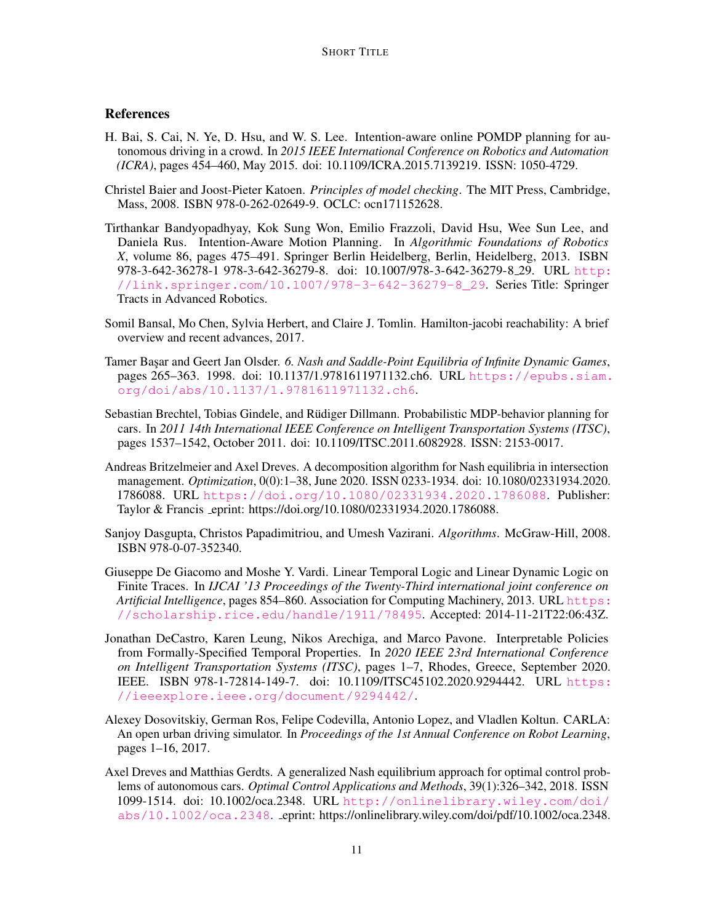# References

- <span id="page-10-2"></span>H. Bai, S. Cai, N. Ye, D. Hsu, and W. S. Lee. Intention-aware online POMDP planning for autonomous driving in a crowd. In *2015 IEEE International Conference on Robotics and Automation (ICRA)*, pages 454–460, May 2015. doi: 10.1109/ICRA.2015.7139219. ISSN: 1050-4729.
- <span id="page-10-6"></span>Christel Baier and Joost-Pieter Katoen. *Principles of model checking*. The MIT Press, Cambridge, Mass, 2008. ISBN 978-0-262-02649-9. OCLC: ocn171152628.
- <span id="page-10-0"></span>Tirthankar Bandyopadhyay, Kok Sung Won, Emilio Frazzoli, David Hsu, Wee Sun Lee, and Daniela Rus. Intention-Aware Motion Planning. In *Algorithmic Foundations of Robotics X*, volume 86, pages 475–491. Springer Berlin Heidelberg, Berlin, Heidelberg, 2013. ISBN 978-3-642-36278-1 978-3-642-36279-8. doi: 10.1007/978-3-642-36279-8 29. URL [http:](http://link.springer.com/10.1007/978-3-642-36279-8_29) [//link.springer.com/10.1007/978-3-642-36279-8\\_29](http://link.springer.com/10.1007/978-3-642-36279-8_29). Series Title: Springer Tracts in Advanced Robotics.
- <span id="page-10-9"></span>Somil Bansal, Mo Chen, Sylvia Herbert, and Claire J. Tomlin. Hamilton-jacobi reachability: A brief overview and recent advances, 2017.
- <span id="page-10-5"></span>Tamer Başar and Geert Jan Olsder. 6. Nash and Saddle-Point Equilibria of Infinite Dynamic Games, pages 265–363. 1998. doi: 10.1137/1.9781611971132.ch6. URL [https://epubs.siam.](https://epubs.siam.org/doi/abs/10.1137/1.9781611971132.ch6) [org/doi/abs/10.1137/1.9781611971132.ch6](https://epubs.siam.org/doi/abs/10.1137/1.9781611971132.ch6).
- <span id="page-10-1"></span>Sebastian Brechtel, Tobias Gindele, and Rudiger Dillmann. Probabilistic MDP-behavior planning for ¨ cars. In *2011 14th International IEEE Conference on Intelligent Transportation Systems (ITSC)*, pages 1537–1542, October 2011. doi: 10.1109/ITSC.2011.6082928. ISSN: 2153-0017.
- <span id="page-10-3"></span>Andreas Britzelmeier and Axel Dreves. A decomposition algorithm for Nash equilibria in intersection management. *Optimization*, 0(0):1–38, June 2020. ISSN 0233-1934. doi: 10.1080/02331934.2020. 1786088. URL <https://doi.org/10.1080/02331934.2020.1786088>. Publisher: Taylor & Francis eprint: https://doi.org/10.1080/02331934.2020.1786088.
- <span id="page-10-10"></span>Sanjoy Dasgupta, Christos Papadimitriou, and Umesh Vazirani. *Algorithms*. McGraw-Hill, 2008. ISBN 978-0-07-352340.
- <span id="page-10-8"></span>Giuseppe De Giacomo and Moshe Y. Vardi. Linear Temporal Logic and Linear Dynamic Logic on Finite Traces. In *IJCAI '13 Proceedings of the Twenty-Third international joint conference on Artificial Intelligence*, pages 854–860. Association for Computing Machinery, 2013. URL [https:](https://scholarship.rice.edu/handle/1911/78495) [//scholarship.rice.edu/handle/1911/78495](https://scholarship.rice.edu/handle/1911/78495). Accepted: 2014-11-21T22:06:43Z.
- <span id="page-10-7"></span>Jonathan DeCastro, Karen Leung, Nikos Arechiga, and Marco Pavone. Interpretable Policies from Formally-Specified Temporal Properties. In *2020 IEEE 23rd International Conference on Intelligent Transportation Systems (ITSC)*, pages 1–7, Rhodes, Greece, September 2020. IEEE. ISBN 978-1-72814-149-7. doi: 10.1109/ITSC45102.2020.9294442. URL [https:](https://ieeexplore.ieee.org/document/9294442/) [//ieeexplore.ieee.org/document/9294442/](https://ieeexplore.ieee.org/document/9294442/).
- <span id="page-10-11"></span>Alexey Dosovitskiy, German Ros, Felipe Codevilla, Antonio Lopez, and Vladlen Koltun. CARLA: An open urban driving simulator. In *Proceedings of the 1st Annual Conference on Robot Learning*, pages 1–16, 2017.
- <span id="page-10-4"></span>Axel Dreves and Matthias Gerdts. A generalized Nash equilibrium approach for optimal control problems of autonomous cars. *Optimal Control Applications and Methods*, 39(1):326–342, 2018. ISSN 1099-1514. doi: 10.1002/oca.2348. URL [http://onlinelibrary.wiley.com/doi/](http://onlinelibrary.wiley.com/doi/abs/10.1002/oca.2348) [abs/10.1002/oca.2348](http://onlinelibrary.wiley.com/doi/abs/10.1002/oca.2348). eprint: https://onlinelibrary.wiley.com/doi/pdf/10.1002/oca.2348.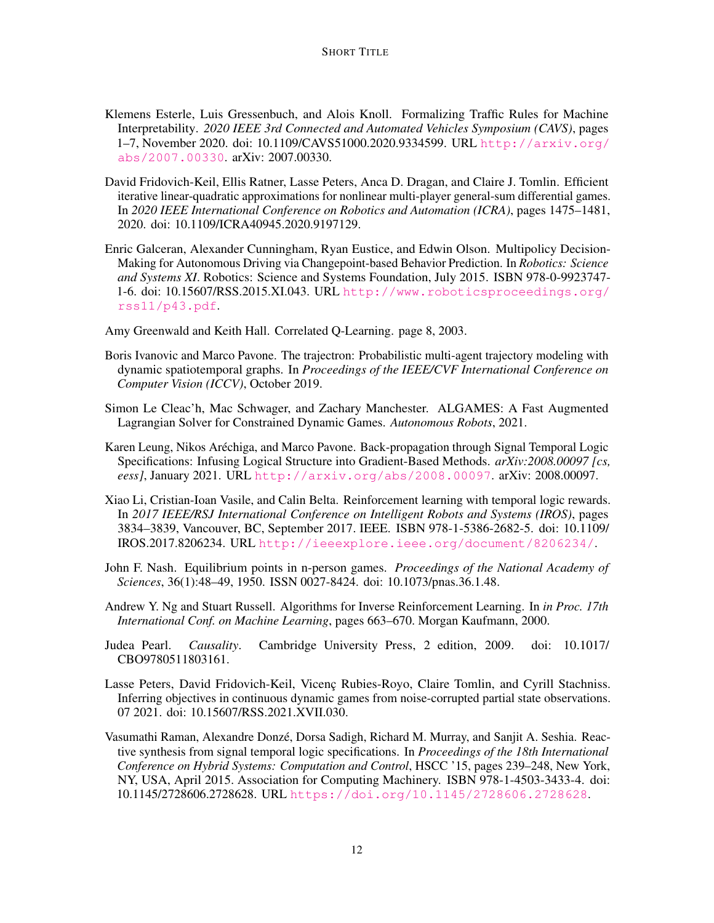- <span id="page-11-6"></span>Klemens Esterle, Luis Gressenbuch, and Alois Knoll. Formalizing Traffic Rules for Machine Interpretability. *2020 IEEE 3rd Connected and Automated Vehicles Symposium (CAVS)*, pages 1–7, November 2020. doi: 10.1109/CAVS51000.2020.9334599. URL [http://arxiv.org/](http://arxiv.org/abs/2007.00330) [abs/2007.00330](http://arxiv.org/abs/2007.00330). arXiv: 2007.00330.
- <span id="page-11-3"></span>David Fridovich-Keil, Ellis Ratner, Lasse Peters, Anca D. Dragan, and Claire J. Tomlin. Efficient iterative linear-quadratic approximations for nonlinear multi-player general-sum differential games. In *2020 IEEE International Conference on Robotics and Automation (ICRA)*, pages 1475–1481, 2020. doi: 10.1109/ICRA40945.2020.9197129.
- <span id="page-11-1"></span>Enric Galceran, Alexander Cunningham, Ryan Eustice, and Edwin Olson. Multipolicy Decision-Making for Autonomous Driving via Changepoint-based Behavior Prediction. In *Robotics: Science and Systems XI*. Robotics: Science and Systems Foundation, July 2015. ISBN 978-0-9923747- 1-6. doi: 10.15607/RSS.2015.XI.043. URL [http://www.roboticsproceedings.org/](http://www.roboticsproceedings.org/rss11/p43.pdf) [rss11/p43.pdf](http://www.roboticsproceedings.org/rss11/p43.pdf).
- <span id="page-11-12"></span>Amy Greenwald and Keith Hall. Correlated Q-Learning. page 8, 2003.
- <span id="page-11-0"></span>Boris Ivanovic and Marco Pavone. The trajectron: Probabilistic multi-agent trajectory modeling with dynamic spatiotemporal graphs. In *Proceedings of the IEEE/CVF International Conference on Computer Vision (ICCV)*, October 2019.
- <span id="page-11-2"></span>Simon Le Cleac'h, Mac Schwager, and Zachary Manchester. ALGAMES: A Fast Augmented Lagrangian Solver for Constrained Dynamic Games. *Autonomous Robots*, 2021.
- <span id="page-11-9"></span>Karen Leung, Nikos Arechiga, and Marco Pavone. Back-propagation through Signal Temporal Logic ´ Specifications: Infusing Logical Structure into Gradient-Based Methods. *arXiv:2008.00097 [cs, eess]*, January 2021. URL <http://arxiv.org/abs/2008.00097>. arXiv: 2008.00097.
- <span id="page-11-7"></span>Xiao Li, Cristian-Ioan Vasile, and Calin Belta. Reinforcement learning with temporal logic rewards. In *2017 IEEE/RSJ International Conference on Intelligent Robots and Systems (IROS)*, pages 3834–3839, Vancouver, BC, September 2017. IEEE. ISBN 978-1-5386-2682-5. doi: 10.1109/ IROS.2017.8206234. URL <http://ieeexplore.ieee.org/document/8206234/>.
- <span id="page-11-11"></span>John F. Nash. Equilibrium points in n-person games. *Proceedings of the National Academy of Sciences*, 36(1):48–49, 1950. ISSN 0027-8424. doi: 10.1073/pnas.36.1.48.
- <span id="page-11-4"></span>Andrew Y. Ng and Stuart Russell. Algorithms for Inverse Reinforcement Learning. In *in Proc. 17th International Conf. on Machine Learning*, pages 663–670. Morgan Kaufmann, 2000.
- <span id="page-11-10"></span>Judea Pearl. *Causality*. Cambridge University Press, 2 edition, 2009. doi: 10.1017/ CBO9780511803161.
- <span id="page-11-5"></span>Lasse Peters, David Fridovich-Keil, Vicenç Rubies-Royo, Claire Tomlin, and Cyrill Stachniss. Inferring objectives in continuous dynamic games from noise-corrupted partial state observations. 07 2021. doi: 10.15607/RSS.2021.XVII.030.
- <span id="page-11-8"></span>Vasumathi Raman, Alexandre Donzé, Dorsa Sadigh, Richard M. Murray, and Sanjit A. Seshia. Reactive synthesis from signal temporal logic specifications. In *Proceedings of the 18th International Conference on Hybrid Systems: Computation and Control*, HSCC '15, pages 239–248, New York, NY, USA, April 2015. Association for Computing Machinery. ISBN 978-1-4503-3433-4. doi: 10.1145/2728606.2728628. URL <https://doi.org/10.1145/2728606.2728628>.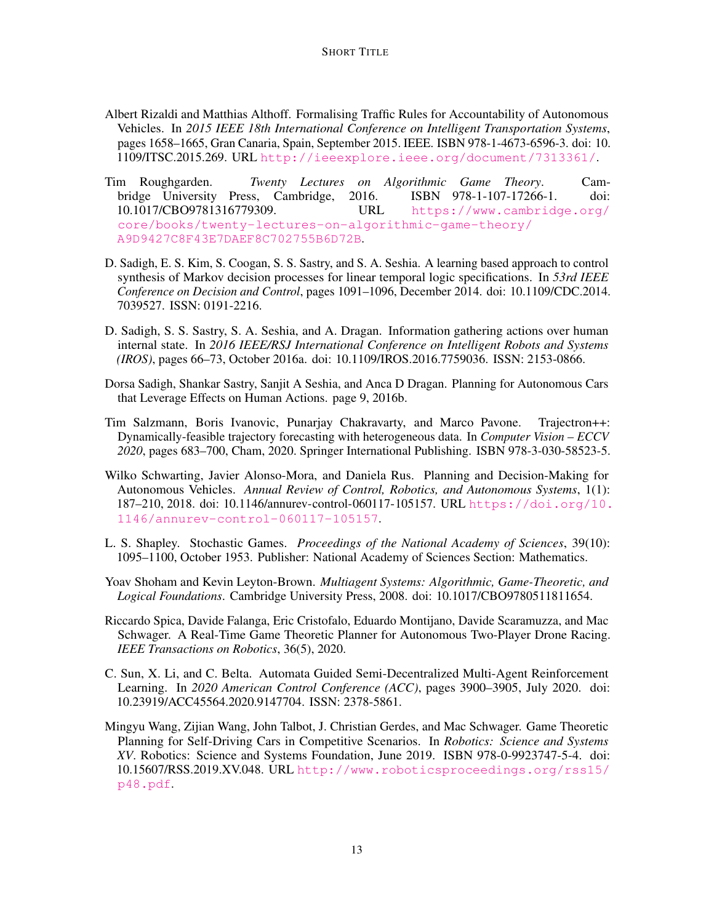- <span id="page-12-8"></span>Albert Rizaldi and Matthias Althoff. Formalising Traffic Rules for Accountability of Autonomous Vehicles. In *2015 IEEE 18th International Conference on Intelligent Transportation Systems*, pages 1658–1665, Gran Canaria, Spain, September 2015. IEEE. ISBN 978-1-4673-6596-3. doi: 10. 1109/ITSC.2015.269. URL <http://ieeexplore.ieee.org/document/7313361/>.
- <span id="page-12-11"></span>Tim Roughgarden. *Twenty Lectures on Algorithmic Game Theory*. Cambridge University Press, Cambridge, 2016. ISBN 978-1-107-17266-1. doi: 10.1017/CBO9781316779309. URL [https://www.cambridge.org/](https://www.cambridge.org/core/books/twenty-lectures-on-algorithmic-game-theory/A9D9427C8F43E7DAEF8C702755B6D72B) [core/books/twenty-lectures-on-algorithmic-game-theory/](https://www.cambridge.org/core/books/twenty-lectures-on-algorithmic-game-theory/A9D9427C8F43E7DAEF8C702755B6D72B) [A9D9427C8F43E7DAEF8C702755B6D72B](https://www.cambridge.org/core/books/twenty-lectures-on-algorithmic-game-theory/A9D9427C8F43E7DAEF8C702755B6D72B).
- <span id="page-12-9"></span>D. Sadigh, E. S. Kim, S. Coogan, S. S. Sastry, and S. A. Seshia. A learning based approach to control synthesis of Markov decision processes for linear temporal logic specifications. In *53rd IEEE Conference on Decision and Control*, pages 1091–1096, December 2014. doi: 10.1109/CDC.2014. 7039527. ISSN: 0191-2216.
- <span id="page-12-3"></span>D. Sadigh, S. S. Sastry, S. A. Seshia, and A. Dragan. Information gathering actions over human internal state. In *2016 IEEE/RSJ International Conference on Intelligent Robots and Systems (IROS)*, pages 66–73, October 2016a. doi: 10.1109/IROS.2016.7759036. ISSN: 2153-0866.
- <span id="page-12-5"></span>Dorsa Sadigh, Shankar Sastry, Sanjit A Seshia, and Anca D Dragan. Planning for Autonomous Cars that Leverage Effects on Human Actions. page 9, 2016b.
- <span id="page-12-2"></span>Tim Salzmann, Boris Ivanovic, Punarjay Chakravarty, and Marco Pavone. Trajectron++: Dynamically-feasible trajectory forecasting with heterogeneous data. In *Computer Vision – ECCV 2020*, pages 683–700, Cham, 2020. Springer International Publishing. ISBN 978-3-030-58523-5.
- <span id="page-12-0"></span>Wilko Schwarting, Javier Alonso-Mora, and Daniela Rus. Planning and Decision-Making for Autonomous Vehicles. *Annual Review of Control, Robotics, and Autonomous Systems*, 1(1): 187–210, 2018. doi: 10.1146/annurev-control-060117-105157. URL [https://doi.org/10.](https://doi.org/10.1146/annurev-control-060117-105157) [1146/annurev-control-060117-105157](https://doi.org/10.1146/annurev-control-060117-105157).
- <span id="page-12-1"></span>L. S. Shapley. Stochastic Games. *Proceedings of the National Academy of Sciences*, 39(10): 1095–1100, October 1953. Publisher: National Academy of Sciences Section: Mathematics.
- <span id="page-12-7"></span>Yoav Shoham and Kevin Leyton-Brown. *Multiagent Systems: Algorithmic, Game-Theoretic, and Logical Foundations*. Cambridge University Press, 2008. doi: 10.1017/CBO9780511811654.
- <span id="page-12-4"></span>Riccardo Spica, Davide Falanga, Eric Cristofalo, Eduardo Montijano, Davide Scaramuzza, and Mac Schwager. A Real-Time Game Theoretic Planner for Autonomous Two-Player Drone Racing. *IEEE Transactions on Robotics*, 36(5), 2020.
- <span id="page-12-10"></span>C. Sun, X. Li, and C. Belta. Automata Guided Semi-Decentralized Multi-Agent Reinforcement Learning. In *2020 American Control Conference (ACC)*, pages 3900–3905, July 2020. doi: 10.23919/ACC45564.2020.9147704. ISSN: 2378-5861.
- <span id="page-12-6"></span>Mingyu Wang, Zijian Wang, John Talbot, J. Christian Gerdes, and Mac Schwager. Game Theoretic Planning for Self-Driving Cars in Competitive Scenarios. In *Robotics: Science and Systems XV*. Robotics: Science and Systems Foundation, June 2019. ISBN 978-0-9923747-5-4. doi: 10.15607/RSS.2019.XV.048. URL [http://www.roboticsproceedings.org/rss15/](http://www.roboticsproceedings.org/rss15/p48.pdf) [p48.pdf](http://www.roboticsproceedings.org/rss15/p48.pdf).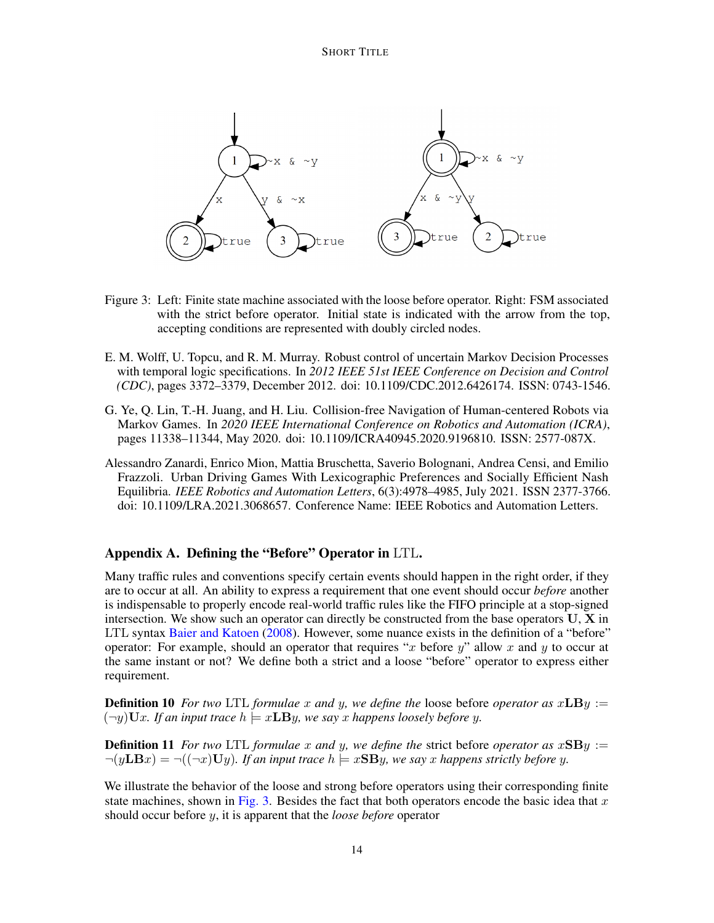

- <span id="page-13-4"></span>Figure 3: Left: Finite state machine associated with the loose before operator. Right: FSM associated with the strict before operator. Initial state is indicated with the arrow from the top, accepting conditions are represented with doubly circled nodes.
- <span id="page-13-2"></span>E. M. Wolff, U. Topcu, and R. M. Murray. Robust control of uncertain Markov Decision Processes with temporal logic specifications. In *2012 IEEE 51st IEEE Conference on Decision and Control (CDC)*, pages 3372–3379, December 2012. doi: 10.1109/CDC.2012.6426174. ISSN: 0743-1546.
- <span id="page-13-0"></span>G. Ye, Q. Lin, T.-H. Juang, and H. Liu. Collision-free Navigation of Human-centered Robots via Markov Games. In *2020 IEEE International Conference on Robotics and Automation (ICRA)*, pages 11338–11344, May 2020. doi: 10.1109/ICRA40945.2020.9196810. ISSN: 2577-087X.
- <span id="page-13-1"></span>Alessandro Zanardi, Enrico Mion, Mattia Bruschetta, Saverio Bolognani, Andrea Censi, and Emilio Frazzoli. Urban Driving Games With Lexicographic Preferences and Socially Efficient Nash Equilibria. *IEEE Robotics and Automation Letters*, 6(3):4978–4985, July 2021. ISSN 2377-3766. doi: 10.1109/LRA.2021.3068657. Conference Name: IEEE Robotics and Automation Letters.

# <span id="page-13-3"></span>Appendix A. Defining the "Before" Operator in LTL.

Many traffic rules and conventions specify certain events should happen in the right order, if they are to occur at all. An ability to express a requirement that one event should occur *before* another is indispensable to properly encode real-world traffic rules like the FIFO principle at a stop-signed intersection. We show such an operator can directly be constructed from the base operators  $U, X$  in LTL syntax [Baier and Katoen](#page-10-6) [\(2008\)](#page-10-6). However, some nuance exists in the definition of a "before" operator: For example, should an operator that requires "x before  $y$ " allow x and y to occur at the same instant or not? We define both a strict and a loose "before" operator to express either requirement.

**Definition 10** For two LTL formulae x and y, we define the loose before operator as  $xLBy :=$  $(-y)Ux$ *. If an input trace*  $h \models xLBy$ *, we say x happens loosely before y.* 

**Definition 11** *For two* LTL *formulae* x and y, we define the strict before *operator* as  $xSBy :=$  $\neg(y \mathbf{LB} x) = \neg((\neg x) \mathbf{U} y)$ . If an input trace  $h \models x \mathbf{SB} y$ , we say x happens strictly before y.

We illustrate the behavior of the loose and strong before operators using their corresponding finite state machines, shown in [Fig. 3.](#page-13-4) Besides the fact that both operators encode the basic idea that  $x$ should occur before y, it is apparent that the *loose before* operator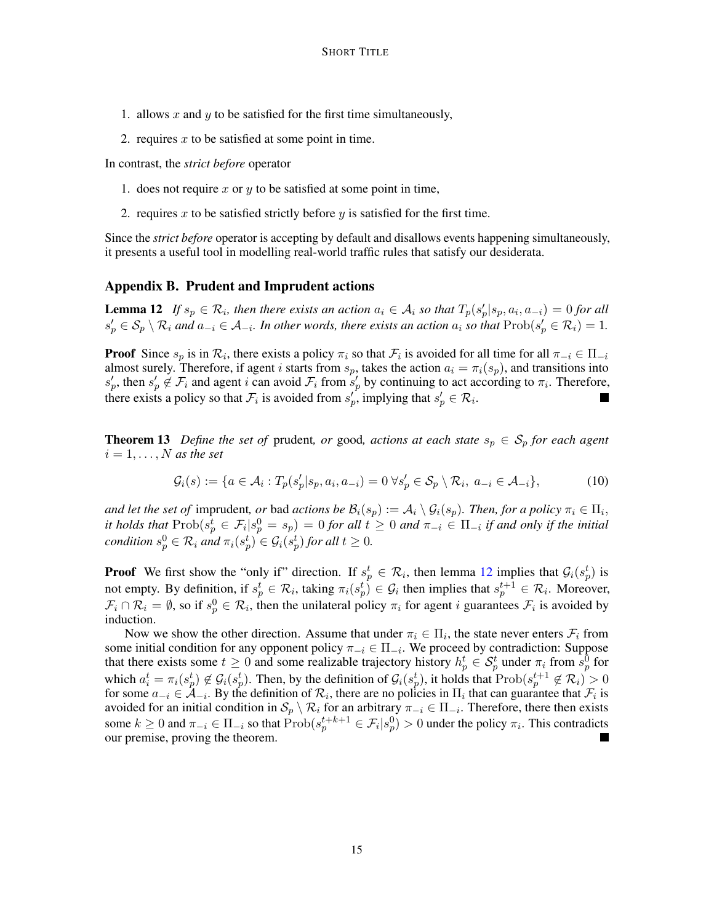- 1. allows  $x$  and  $y$  to be satisfied for the first time simultaneously,
- 2. requires  $x$  to be satisfied at some point in time.

In contrast, the *strict before* operator

- 1. does not require x or  $y$  to be satisfied at some point in time,
- 2. requires x to be satisfied strictly before y is satisfied for the first time.

Since the *strict before* operator is accepting by default and disallows events happening simultaneously, it presents a useful tool in modelling real-world traffic rules that satisfy our desiderata.

## <span id="page-14-0"></span>Appendix B. Prudent and Imprudent actions

<span id="page-14-2"></span>**Lemma 12** *If*  $s_p \in \mathcal{R}_i$ , then there exists an action  $a_i \in \mathcal{A}_i$  so that  $T_p(s'_p|s_p, a_i, a_{-i}) = 0$  for all  $s'_p \in S_p \setminus R_i$  and  $a_{-i} \in A_{-i}$ . In other words, there exists an action  $a_i$  so that  $Prob(s'_p \in R_i) = 1$ .

**Proof** Since  $s_p$  is in  $\mathcal{R}_i$ , there exists a policy  $\pi_i$  so that  $\mathcal{F}_i$  is avoided for all time for all  $\pi_{-i} \in \Pi_{-i}$ almost surely. Therefore, if agent i starts from  $s_p$ , takes the action  $a_i = \pi_i(s_p)$ , and transitions into  $s'_p$ , then  $s'_p \notin \mathcal{F}_i$  and agent i can avoid  $\mathcal{F}_i$  from  $s'_p$  by continuing to act according to  $\pi_i$ . Therefore, there exists a policy so that  $\mathcal{F}_i$  is avoided from  $s'_p$ , implying that  $s'_p \in \mathcal{R}_i$ .

<span id="page-14-3"></span>**Theorem 13** *Define the set of* prudent, *or* good, *actions at each state*  $s_p \in S_p$  *for each agent*  $i = 1, \ldots, N$  *as the set* 

$$
\mathcal{G}_i(s) := \{ a \in \mathcal{A}_i : T_p(s_p'|s_p, a_i, a_{-i}) = 0 \,\forall s_p' \in \mathcal{S}_p \setminus \mathcal{R}_i, a_{-i} \in \mathcal{A}_{-i} \},\tag{10}
$$

*and let the set of* imprudent, *or* bad *actions be*  $\mathcal{B}_i(s_p) := \mathcal{A}_i \setminus \mathcal{G}_i(s_p)$ . *Then, for a policy*  $\pi_i \in \Pi_i$ , *it holds that*  $\text{Prob}(s_p^t \in \mathcal{F}_i | s_p^0 = s_p) = 0$  *for all*  $t \geq 0$  *and*  $\pi_{-i} \in \Pi_{-i}$  *if and only if the initial condition*  $s_p^0 \in \mathcal{R}_i$  and  $\pi_i(s_p^t) \in \mathcal{G}_i(s_p^t)$  for all  $t \geq 0$ .

**Proof** We first show the "only if" direction. If  $s_p^t \in \mathcal{R}_i$ , then lemma [12](#page-14-2) implies that  $\mathcal{G}_i(s_p^t)$  is not empty. By definition, if  $s_p^t \in \mathcal{R}_i$ , taking  $\pi_i(s_p^t) \in \mathcal{G}_i$  then implies that  $s_p^{t+1} \in \mathcal{R}_i$ . Moreover,  $\mathcal{F}_i \cap \mathcal{R}_i = \emptyset$ , so if  $s_p^0 \in \mathcal{R}_i$ , then the unilateral policy  $\pi_i$  for agent i guarantees  $\mathcal{F}_i$  is avoided by induction.

<span id="page-14-1"></span>Now we show the other direction. Assume that under  $\pi_i \in \Pi_i$ , the state never enters  $\mathcal{F}_i$  from some initial condition for any opponent policy  $\pi_{-i} \in \Pi_{-i}$ . We proceed by contradiction: Suppose that there exists some  $t \geq 0$  and some realizable trajectory history  $h_p^t \in S_p^t$  under  $\pi_i$  from  $s_p^0$  for which  $a_i^t = \pi_i(s_p^t) \notin \mathcal{G}_i(s_p^t)$ . Then, by the definition of  $\mathcal{G}_i(s_p^t)$ , it holds that  $\text{Prob}(s_p^{t+1} \notin \mathcal{R}_i) > 0$ for some  $a_{-i} \in \mathcal{A}_{-i}$ . By the definition of  $\mathcal{R}_i$ , there are no policies in  $\Pi_i$  that can guarantee that  $\mathcal{F}_i$  is avoided for an initial condition in  $S_p \setminus \mathcal{R}_i$  for an arbitrary  $\pi_{-i} \in \Pi_{-i}$ . Therefore, there then exists some  $k \ge 0$  and  $\pi_{-i} \in \Pi_{-i}$  so that  $\text{Prob}(s_p^{t+k+1} \in \mathcal{F}_i | s_p^0) > 0$  under the policy  $\pi_i$ . This contradicts our premise, proving the theorem.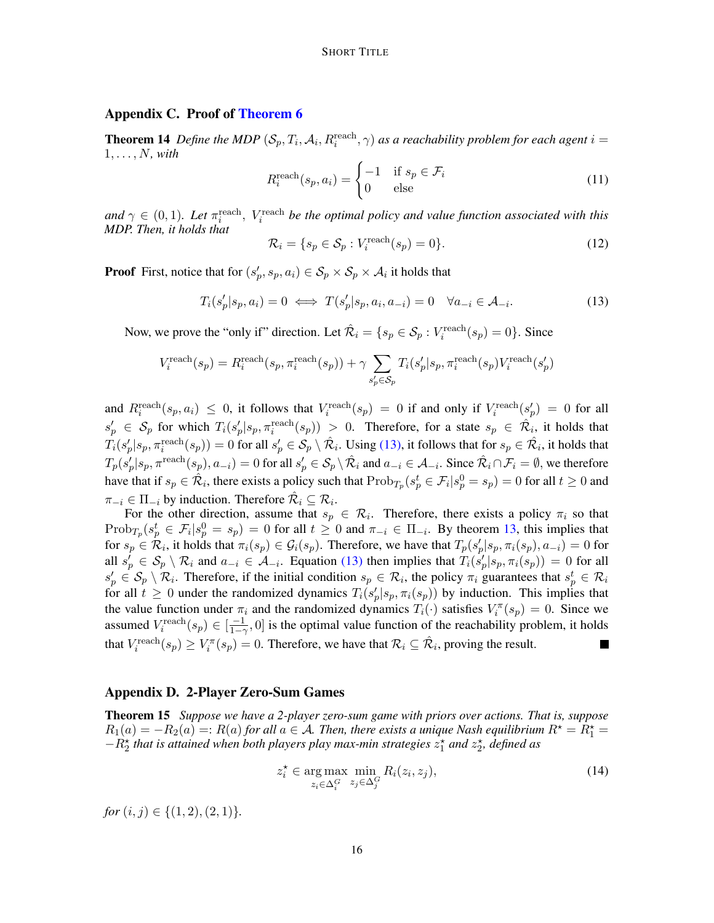## Appendix C. Proof of [Theorem 6](#page-5-0)

**Theorem 14** Define the MDP  $(S_p, T_i, A_i, R_i^{\text{reach}}, \gamma)$  as a reachability problem for each agent  $i =$  $1, \ldots, N$ *, with* 

$$
R_i^{\text{reach}}(s_p, a_i) = \begin{cases} -1 & \text{if } s_p \in \mathcal{F}_i \\ 0 & \text{else} \end{cases} \tag{11}
$$

and  $\gamma \in (0,1)$ *. Let*  $\pi_i^{\text{reach}}$ *, V*<sub>i</sub><sup>reach</sup> *be the optimal policy and value function associated with this MDP. Then, it holds that*

<span id="page-15-1"></span>
$$
\mathcal{R}_i = \{ s_p \in \mathcal{S}_p : V_i^{\text{reach}}(s_p) = 0 \}. \tag{12}
$$

**Proof** First, notice that for  $(s_p', s_p, a_i) \in S_p \times S_p \times A_i$  it holds that

<span id="page-15-2"></span>
$$
T_i(s_p'|s_p, a_i) = 0 \iff T(s_p'|s_p, a_i, a_{-i}) = 0 \quad \forall a_{-i} \in \mathcal{A}_{-i}.
$$
 (13)

Now, we prove the "only if" direction. Let  $\hat{\mathcal{R}}_i = \{s_p \in \mathcal{S}_p : V_i^{\text{reach}}(s_p) = 0\}$ . Since

$$
V^{\text{reach}}_i(s_p) = R^{\text{reach}}_i(s_p, \pi^{\text{reach}}_i(s_p)) + \gamma \sum_{s'_p \in \mathcal{S}_p} T_i(s'_p|s_p, \pi^{\text{reach}}_i(s_p) V^{\text{reach}}_i(s'_p)
$$

and  $R_i^{\text{reach}}(s_p, a_i) \leq 0$ , it follows that  $V_i^{\text{reach}}(s_p) = 0$  if and only if  $V_i^{\text{reach}}(s'_p) = 0$  for all  $s'_p \in S_p$  for which  $T_i(s'_p|s_p, \pi_i^{\text{reach}}(s_p)) > 0$ . Therefore, for a state  $s_p \in \mathcal{R}_i$ , it holds that  $T_i(s_p'|s_p,\pi_i^{\rm reach}(s_p))=0$  for all  $s_p'\in\mathcal{S}_p\setminus\hat{\mathcal{R}_i}.$  Using [\(13\),](#page-15-2) it follows that for  $s_p\in\hat{\mathcal{R}_i}$ , it holds that  $T_p(s_p'|s_p, \pi^{\text{reach}}(s_p), a_{-i}) = 0$  for all  $s_p' \in \mathcal{S}_p \setminus \hat{\mathcal{R}}_i$  and  $a_{-i} \in \mathcal{A}_{-i}$ . Since  $\hat{\mathcal{R}}_i \cap \mathcal{F}_i = \emptyset$ , we therefore have that if  $s_p \in \hat{\mathcal{R}}_i$ , there exists a policy such that  $\text{Prob}_{T_p}(s_p^t \in \mathcal{F}_i | s_p^0 = s_p) = 0$  for all  $t \ge 0$  and  $\pi_{-i} \in \Pi_{-i}$  by induction. Therefore  $\hat{\mathcal{R}}_i \subseteq \mathcal{R}_i$ .

For the other direction, assume that  $s_p \in \mathcal{R}_i$ . Therefore, there exists a policy  $\pi_i$  so that  $\text{Prob}_{T_p}(s_p^t \in \mathcal{F}_i | s_p^0 = s_p) = 0$  for all  $t \geq 0$  and  $\pi_{-i} \in \Pi_{-i}$ . By theorem [13,](#page-14-3) this implies that for  $s_p \in \mathcal{R}_i$ , it holds that  $\pi_i(s_p) \in \mathcal{G}_i(s_p)$ . Therefore, we have that  $T_p(s_p'|s_p, \pi_i(s_p), a_{-i}) = 0$  for all  $s'_p \in S_p \setminus \mathcal{R}_i$  and  $a_{-i} \in \mathcal{A}_{-i}$ . Equation [\(13\)](#page-15-2) then implies that  $T_i(s'_p|s_p, \pi_i(s_p)) = 0$  for all  $s'_p \in S_p \setminus \mathcal{R}_i$ . Therefore, if the initial condition  $s_p \in \mathcal{R}_i$ , the policy  $\pi_i$  guarantees that  $s_p^t \in \mathcal{R}_i$ for all  $t \geq 0$  under the randomized dynamics  $T_i(s'_p|s_p, \pi_i(s_p))$  by induction. This implies that the value function under  $\pi_i$  and the randomized dynamics  $T_i(\cdot)$  satisfies  $V_i^{\pi}(s_p) = 0$ . Since we assumed  $V_i^{\text{reach}}(s_p) \in [\frac{-1}{1-\epsilon}]$  $\frac{-1}{1-\gamma}$ , 0] is the optimal value function of the reachability problem, it holds that  $V_i^{\text{reach}}(s_p) \ge V_i^{\pi}(s_p) = 0$ . Therefore, we have that  $\mathcal{R}_i \subseteq \hat{\mathcal{R}}_i$ , proving the result.

## <span id="page-15-0"></span>Appendix D. 2-Player Zero-Sum Games

<span id="page-15-3"></span>Theorem 15 *Suppose we have a 2-player zero-sum game with priors over actions. That is, suppose*  $R_1(a) = -R_2(a) =: R(a)$  for all  $a \in \mathcal{A}$ . Then, there exists a unique Nash equilibrium  $R^* = R_1^* =$  $-R_2^{\star}$  *that is attained when both players play max-min strategies*  $z_1^{\star}$  *and*  $z_2^{\star}$ *, defined as* 

$$
z_i^* \in \underset{z_i \in \Delta_i^G}{\text{arg max}} \ \underset{z_j \in \Delta_j^G}{\text{min}} \ R_i(z_i, z_j), \tag{14}
$$

*for*  $(i, j) \in \{(1, 2), (2, 1)\}.$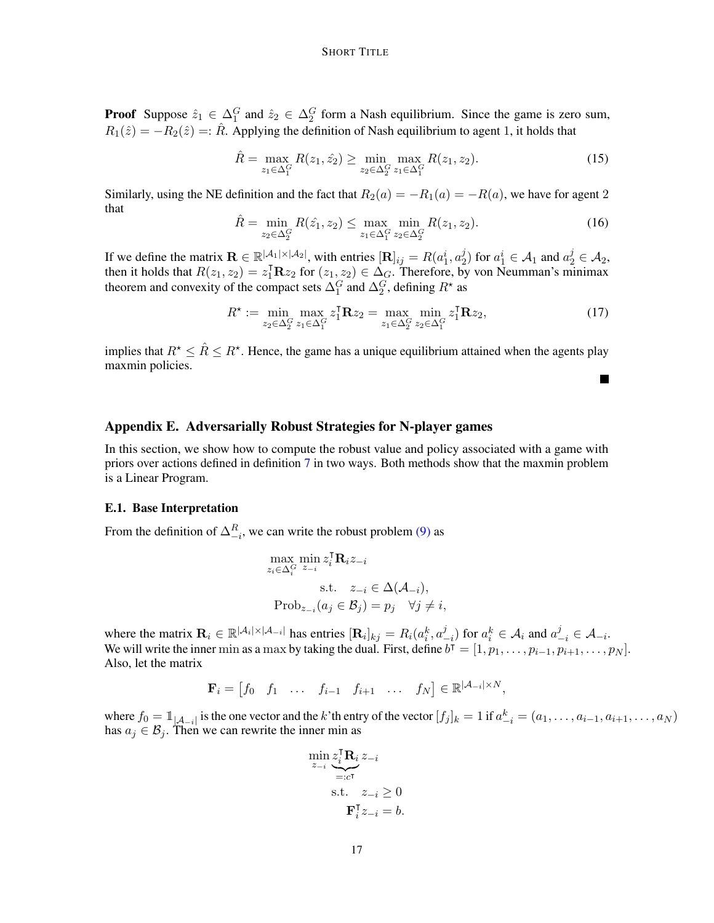**Proof** Suppose  $\hat{z}_1 \in \Delta_1^G$  and  $\hat{z}_2 \in \Delta_2^G$  form a Nash equilibrium. Since the game is zero sum,  $R_1(\hat{z}) = -R_2(\hat{z}) =: \hat{R}$ . Applying the definition of Nash equilibrium to agent 1, it holds that

$$
\hat{R} = \max_{z_1 \in \Delta_1^G} R(z_1, \hat{z_2}) \ge \min_{z_2 \in \Delta_2^G} \max_{z_1 \in \Delta_1^G} R(z_1, z_2). \tag{15}
$$

Similarly, using the NE definition and the fact that  $R_2(a) = -R_1(a) = -R(a)$ , we have for agent 2 that

$$
\hat{R} = \min_{z_2 \in \Delta_2^G} R(\hat{z_1}, z_2) \le \max_{z_1 \in \Delta_1^G} \min_{z_2 \in \Delta_2^G} R(z_1, z_2). \tag{16}
$$

If we define the matrix  $\mathbf{R} \in \mathbb{R}^{|\mathcal{A}_1| \times |\mathcal{A}_2|}$ , with entries  $[\mathbf{R}]_{ij} = R(a_1^i, a_2^j)$  $\mathcal{L}_2^j$ ) for  $a_1^i \in \mathcal{A}_1$  and  $a_2^j \in \mathcal{A}_2$ , then it holds that  $R(z_1, z_2) = z_1^{\mathsf{T}} \mathbf{R} z_2$  for  $(z_1, z_2) \in \Delta_G$ . Therefore, by von Neumman's minimax theorem and convexity of the compact sets  $\Delta_1^G$  and  $\Delta_2^G$ , defining  $R^*$  as

$$
R^* := \min_{z_2 \in \Delta_2^G} \max_{z_1 \in \Delta_1^G} z_1^{\mathbf{T}} \mathbf{R} z_2 = \max_{z_1 \in \Delta_2^G} \min_{z_2 \in \Delta_1^G} z_1^{\mathbf{T}} \mathbf{R} z_2,
$$
(17)

L.

implies that  $R^* \leq \hat{R} \leq R^*$ . Hence, the game has a unique equilibrium attained when the agents play maxmin policies.

## <span id="page-16-0"></span>Appendix E. Adversarially Robust Strategies for N-player games

In this section, we show how to compute the robust value and policy associated with a game with priors over actions defined in definition [7](#page-6-1) in two ways. Both methods show that the maxmin problem is a Linear Program.

## E.1. Base Interpretation

From the definition of  $\Delta_{-i}^R$ , we can write the robust problem [\(9\)](#page-6-0) as

$$
\max_{z_i \in \Delta_i^G} \min_{z_{-i}} z_i^{\mathsf{T}} \mathbf{R}_i z_{-i}
$$
\ns.t. 
$$
z_{-i} \in \Delta(\mathcal{A}_{-i}),
$$
\n
$$
\text{Prob}_{z_{-i}}(a_j \in \mathcal{B}_j) = p_j \quad \forall j \neq i,
$$

where the matrix  $\mathbf{R}_i \in \mathbb{R}^{|\mathcal{A}_i| \times |\mathcal{A}_{-i}|}$  has entries  $[\mathbf{R}_i]_{kj} = R_i(a_i^k, a_j^k)$  $\left( \begin{matrix} j \\ -i \end{matrix} \right)$  for  $a_i^k \in \mathcal{A}_i$  and  $a_{-i}^j \in \mathcal{A}_{-i}$ . We will write the inner min as a max by taking the dual. First, define  $\overline{b^{\dagger}} = [1, p_1, \ldots, p_{i-1}, p_{i+1}, \ldots, p_N].$ Also, let the matrix

$$
\mathbf{F}_i = \begin{bmatrix} f_0 & f_1 & \dots & f_{i-1} & f_{i+1} & \dots & f_N \end{bmatrix} \in \mathbb{R}^{|\mathcal{A}_{-i}| \times N},
$$

where  $f_0 = \mathbb{1}_{|\mathcal{A}_{-i}|}$  is the one vector and the k'th entry of the vector  $[f_j]_k = 1$  if  $a_{-i}^k = (a_1, \dots, a_{i-1}, a_{i+1}, \dots, a_N)$ has  $a_j \in \mathcal{B}_j$ . Then we can rewrite the inner min as

$$
\min_{z_{-i}} \underbrace{z_i^{\mathsf{T}} \mathbf{R}_i}_{=:c^{\mathsf{T}}} \underbrace{z_{-i}}_{\mathbf{S}.\mathsf{t}} \n\text{s.t.} \quad z_{-i} \ge 0
$$
\n
$$
\mathbf{F}_i^{\mathsf{T}} z_{-i} = b.
$$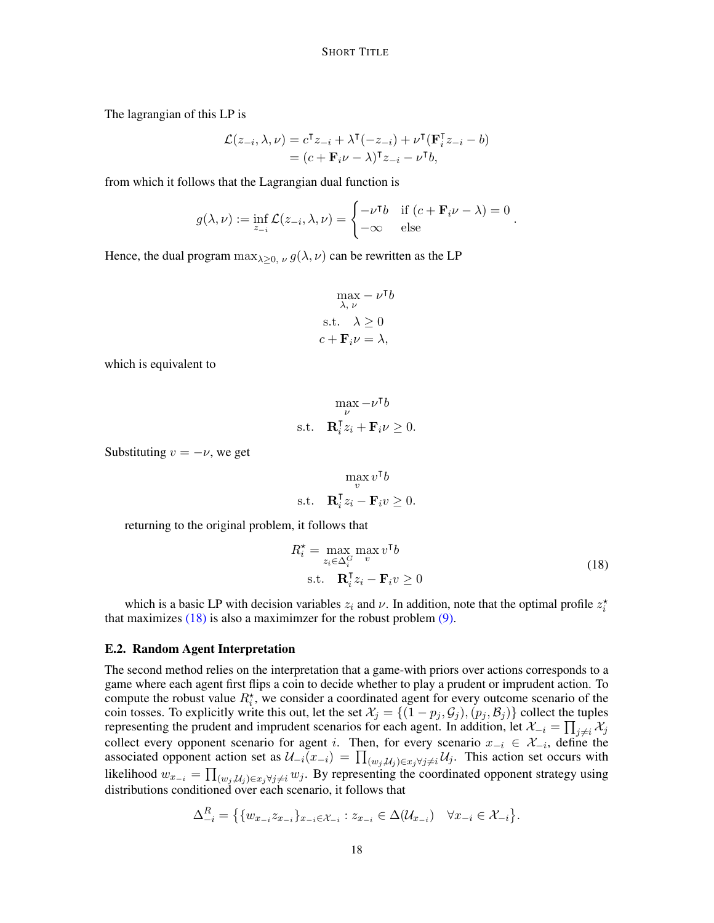The lagrangian of this LP is

$$
\mathcal{L}(z_{-i}, \lambda, \nu) = c^{\mathsf{T}} z_{-i} + \lambda^{\mathsf{T}}(-z_{-i}) + \nu^{\mathsf{T}}(\mathbf{F}_{i}^{\mathsf{T}} z_{-i} - b)
$$
  
=  $(c + \mathbf{F}_{i} \nu - \lambda)^{\mathsf{T}} z_{-i} - \nu^{\mathsf{T}} b,$ 

from which it follows that the Lagrangian dual function is

$$
g(\lambda, \nu) := \inf_{z_{-i}} \mathcal{L}(z_{-i}, \lambda, \nu) = \begin{cases} -\nu^{\mathsf{T}} b & \text{if } (c + \mathbf{F}_i \nu - \lambda) = 0 \\ -\infty & \text{else} \end{cases}.
$$

Hence, the dual program  $\max_{\lambda>0, \nu} g(\lambda, \nu)$  can be rewritten as the LP

$$
\max_{\lambda, \nu} -\nu^{\mathsf{T}}b
$$
  
s.t.  $\lambda \ge 0$   
 $c + \mathbf{F}_i \nu = \lambda$ ,

which is equivalent to

$$
\begin{aligned} \max_{\nu} -\nu^\mathsf{T} b \\ \text{s.t.} \quad & \mathbf{R}_i^\mathsf{T} z_i + \mathbf{F}_i \nu \geq 0. \end{aligned}
$$

Substituting  $v = -\nu$ , we get

$$
\max_{v} v^{\mathsf{T}}b
$$
s.t. 
$$
\mathbf{R}_{i}^{\mathsf{T}}z_{i} - \mathbf{F}_{i}v \geq 0.
$$

returning to the original problem, it follows that

<span id="page-17-0"></span>
$$
R_i^* = \max_{z_i \in \Delta_i^G} \max_v v^{\mathsf{T}} b
$$
  
s.t. 
$$
\mathbf{R}_i^{\mathsf{T}} z_i - \mathbf{F}_i v \ge 0
$$
 (18)

.

which is a basic LP with decision variables  $z_i$  and  $\nu$ . In addition, note that the optimal profile  $z_i^*$ that maximizes  $(18)$  is also a maximimzer for the robust problem  $(9)$ .

#### E.2. Random Agent Interpretation

The second method relies on the interpretation that a game-with priors over actions corresponds to a game where each agent first flips a coin to decide whether to play a prudent or imprudent action. To compute the robust value  $R_i^*$ , we consider a coordinated agent for every outcome scenario of the coin tosses. To explicitly write this out, let the set  $\mathcal{X}_j = \{(1 - p_j, \mathcal{G}_j), (p_j, \mathcal{B}_j)\}\$ collect the tuples representing the prudent and imprudent scenarios for each agent. In addition, let  $\mathcal{X}_{-i} = \prod$  $_{j\neq i}$   $\mathcal{X}_{j}$ collect every opponent scenario for agent i. Then, for every scenario  $x_{-i} \in \mathcal{X}_{-i}$ , define the associated opponent action set as  $\mathcal{U}_{-i}(x_{-i}) = \prod_{(w_j, \mathcal{U}_j) \in x_j \forall j \neq i} \mathcal{U}_j$ . This action set occurs with likelihood  $w_{x_{-i}} = \prod_{(w_j, \mathcal{U}_j) \in x_j \forall j \neq i} w_j$ . By representing the coordinated opponent strategy using distributions conditioned over each scenario, it follows that

$$
\Delta_{-i}^{R} = \left\{ \{ w_{x_{-i}} z_{x_{-i}} \}_{x_{-i} \in \mathcal{X}_{-i}} : z_{x_{-i}} \in \Delta(\mathcal{U}_{x_{-i}}) \quad \forall x_{-i} \in \mathcal{X}_{-i} \right\}
$$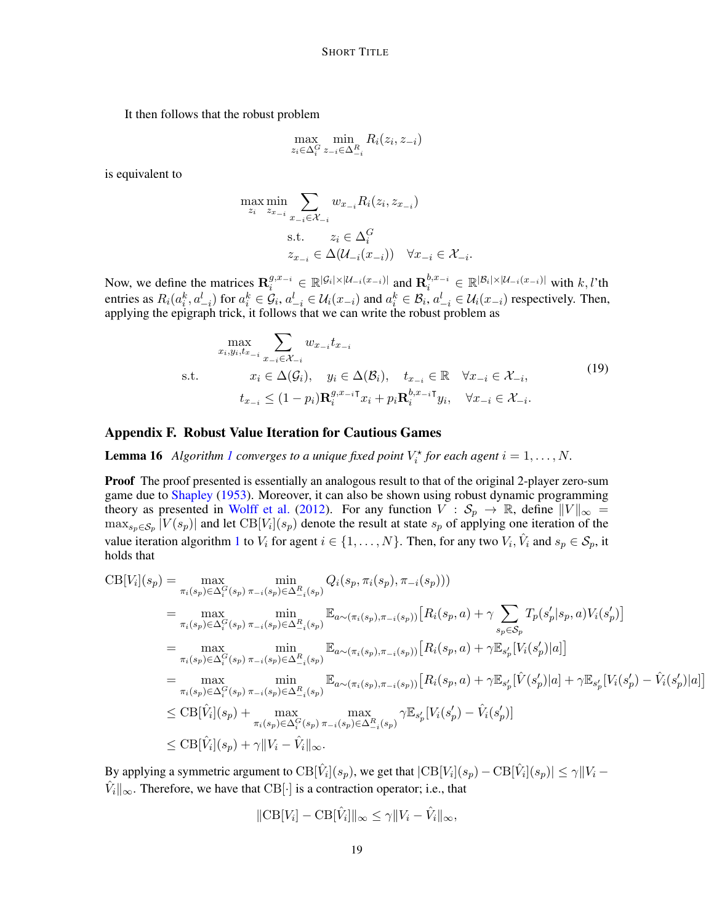It then follows that the robust problem

$$
\max_{z_i \in \Delta_i^G} \min_{z_{-i} \in \Delta_{-i}^R} R_i(z_i, z_{-i})
$$

is equivalent to

$$
\max_{z_i} \min_{z_{x_{-i}}} \sum_{x_{-i} \in \mathcal{X}_{-i}} w_{x_{-i}} R_i(z_i, z_{x_{-i}})
$$
\n
$$
\text{s.t.} \quad z_i \in \Delta_i^G
$$
\n
$$
z_{x_{-i}} \in \Delta(\mathcal{U}_{-i}(x_{-i})) \quad \forall x_{-i} \in \mathcal{X}_{-i}.
$$

Now, we define the matrices  $\mathbf{R}_{i}^{g,x_{-i}} \in \mathbb{R}^{|\mathcal{G}_i| \times |\mathcal{U}_{-i}(x_{-i})|}$  and  $\mathbf{R}_{i}^{b,x_{-i}} \in \mathbb{R}^{|\mathcal{B}_i| \times |\mathcal{U}_{-i}(x_{-i})|}$  with  $k, l$ 'th entries as  $R_i(a_i^k, a_{-i}^l)$  for  $a_i^k \in \mathcal{G}_i$ ,  $a_{-i}^l \in \mathcal{U}_i(x_{-i})$  and  $a_i^k \in \mathcal{B}_i$ ,  $a_{-i}^l \in \mathcal{U}_i(x_{-i})$  respectively. Then, applying the epigraph trick, it follows that we can write the robust problem as

$$
\max_{x_i, y_i, t_{x_{-i}}} \sum_{x_{-i} \in \mathcal{X}_{-i}} w_{x_{-i}} t_{x_{-i}}
$$
\n
$$
\text{s.t.} \qquad x_i \in \Delta(\mathcal{G}_i), \quad y_i \in \Delta(\mathcal{B}_i), \quad t_{x_{-i}} \in \mathbb{R} \quad \forall x_{-i} \in \mathcal{X}_{-i},
$$
\n
$$
t_{x_{-i}} \le (1 - p_i) \mathbf{R}_i^{g, x_{-i}} \mathbf{T}_{x_i} + p_i \mathbf{R}_i^{b, x_{-i}} \mathbf{T}_{y_i}, \quad \forall x_{-i} \in \mathcal{X}_{-i}.
$$
\n
$$
(19)
$$

## <span id="page-18-1"></span>Appendix F. Robust Value Iteration for Cautious Games

<span id="page-18-0"></span>**Lemma [1](#page-7-0)6** Algorithm 1 converges to a unique fixed point  $V_i^*$  for each agent  $i = 1, ..., N$ .

Proof The proof presented is essentially an analogous result to that of the original 2-player zero-sum game due to [Shapley](#page-12-1) [\(1953\)](#page-12-1). Moreover, it can also be shown using robust dynamic programming theory as presented in [Wolff et al.](#page-13-2) [\(2012\)](#page-13-2). For any function  $V : S_p \to \mathbb{R}$ , define  $||V||_{\infty} =$  $\max_{s_p \in S_p} |V(s_p)|$  and let  $CB[V_i](s_p)$  denote the result at state  $s_p$  of applying one iteration of the value iteration algorithm [1](#page-7-0) to  $V_i$  for agent  $i \in \{1, ..., N\}$ . Then, for any two  $V_i$ ,  $\hat{V}_i$  and  $s_p \in S_p$ , it holds that

$$
CB[V_i](s_p) = \max_{\pi_i(s_p) \in \Delta_i^G(s_p) \pi_{-i}(s_p) \in \Delta_{-i}^G(s_p)} \min_{\pi_i(s_p) \in \Delta_i^G(s_p) \pi_{-i}(s_p)} Q_i(s_p, \pi_i(s_p), \pi_{-i}(s_p)))
$$
\n
$$
= \max_{\pi_i(s_p) \in \Delta_i^G(s_p) \pi_{-i}(s_p) \in \Delta_{-i}^R(s_p)} \mathbb{E}_{a \sim (\pi_i(s_p), \pi_{-i}(s_p))} [R_i(s_p, a) + \gamma \sum_{s_p \in S_p} T_p(s'_p | s_p, a) V_i(s'_p)]
$$
\n
$$
= \max_{\pi_i(s_p) \in \Delta_i^G(s_p) \pi_{-i}(s_p) \in \Delta_{-i}^R(s_p)} \mathbb{E}_{a \sim (\pi_i(s_p), \pi_{-i}(s_p))} [R_i(s_p, a) + \gamma \mathbb{E}_{s'_p} [V_i(s'_p) | a]]
$$
\n
$$
= \max_{\pi_i(s_p) \in \Delta_i^G(s_p) \pi_{-i}(s_p) \in \Delta_{-i}^R(s_p)} \mathbb{E}_{a \sim (\pi_i(s_p), \pi_{-i}(s_p))} [R_i(s_p, a) + \gamma \mathbb{E}_{s'_p} [\hat{V}(s'_p) | a] + \gamma \mathbb{E}_{s'_p} [V_i(s'_p) - \hat{V}_i(s'_p) | a]]
$$
\n
$$
\leq CB[\hat{V}_i](s_p) + \max_{\pi_i(s_p) \in \Delta_i^G(s_p) \pi_{-i}(s_p) \in \Delta_{-i}^R(s_p)} \gamma \mathbb{E}_{s'_p} [V_i(s'_p) - \hat{V}_i(s'_p)]
$$
\n
$$
\leq CB[\hat{V}_i](s_p) + \gamma ||V_i - \hat{V}_i||_{\infty}.
$$

By applying a symmetric argument to  $CB[\hat{V}_i](s_p)$ , we get that  $|CB[V_i](s_p) - CB[\hat{V}_i](s_p)| \le \gamma ||V_i \hat{V}_i||_{\infty}$ . Therefore, we have that CB[·] is a contraction operator; i.e., that

$$
\|\text{CB}[V_i] - \text{CB}[\hat{V}_i]\|_{\infty} \leq \gamma \|V_i - \hat{V}_i\|_{\infty},
$$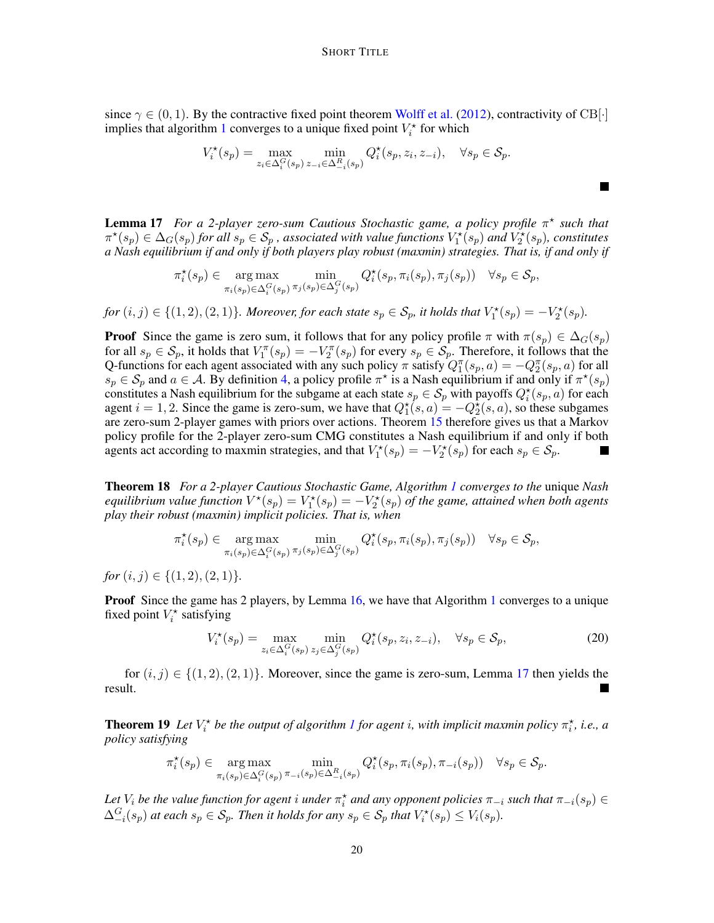since  $\gamma \in (0, 1)$ . By the contractive fixed point theorem [Wolff et al.](#page-13-2) [\(2012\)](#page-13-2), contractivity of CB[ $\cdot$ ] implies that algorithm [1](#page-7-0) converges to a unique fixed point  $V_i^*$  for which

$$
V_i^{\star}(s_p) = \max_{z_i \in \Delta_i^G(s_p)} \min_{z_{-i} \in \Delta_{-i}^R(s_p)} Q_i^{\star}(s_p, z_i, z_{-i}), \quad \forall s_p \in \mathcal{S}_p.
$$

 $\blacksquare$ 

<span id="page-19-0"></span>**Lemma 17** For a 2-player zero-sum Cautious Stochastic game, a policy profile π<sup>\*</sup> such that  $\pi^{\star}(s_p) \in \Delta_G(s_p)$  for all  $s_p \in S_p$ , associated with value functions  $V_1^{\star}(s_p)$  and  $V_2^{\star}(s_p)$ , constitutes *a Nash equilibrium if and only if both players play robust (maxmin) strategies. That is, if and only if*

$$
\pi_i^{\star}(s_p) \in \mathop{\arg\max}_{\pi_i(s_p) \in \Delta_i^G(s_p)} \min_{\pi_j(s_p) \in \Delta_j^G(s_p)} Q_i^{\star}(s_p, \pi_i(s_p), \pi_j(s_p)) \quad \forall s_p \in \mathcal{S}_p,
$$

 $for (i, j) \in \{(1, 2), (2, 1)\}$ . Moreover, for each state  $s_p \in S_p$ , it holds that  $V_1^*(s_p) = -V_2^*(s_p)$ .

**Proof** Since the game is zero sum, it follows that for any policy profile  $\pi$  with  $\pi(s_p) \in \Delta_G(s_p)$ for all  $s_p \in S_p$ , it holds that  $V_1^{\pi}(s_p) = -V_2^{\pi}(s_p)$  for every  $s_p \in S_p$ . Therefore, it follows that the Q-functions for each agent associated with any such policy  $\pi$  satisfy  $Q_1^{\pi}(s_p, a) = -Q_2^{\pi}(s_p, a)$  for all  $s_p \in S_p$  and  $a \in A$ . By definition [4,](#page-4-1) a policy profile  $\pi^*$  is a Nash equilibrium if and only if  $\pi^*(s_p)$ constitutes a Nash equilibrium for the subgame at each state  $s_p \in S_p$  with payoffs  $Q_i^*(s_p, a)$  for each agent  $i = 1, 2$ . Since the game is zero-sum, we have that  $Q_1^*(s, a) = -Q_2^*(s, a)$ , so these subgames are zero-sum 2-player games with priors over actions. Theorem [15](#page-15-3) therefore gives us that a Markov policy profile for the 2-player zero-sum CMG constitutes a Nash equilibrium if and only if both agents act according to maxmin strategies, and that  $V_1^*(s_p) = -V_2^*(s_p)$  for each  $s_p \in S_p$ .

Theorem 18 *For a 2-player Cautious Stochastic Game, Algorithm [1](#page-7-0) converges to the* unique *Nash equilibrium value function*  $V^*(s_p) = V_1^*(s_p) = -V_2^*(s_p)$  *of the game, attained when both agents play their robust (maxmin) implicit policies. That is, when*

$$
\pi_i^{\star}(s_p) \in \mathop{\arg\max}_{\pi_i(s_p) \in \Delta_i^G(s_p)} \min_{\pi_j(s_p) \in \Delta_j^G(s_p)} Q_i^{\star}(s_p, \pi_i(s_p), \pi_j(s_p)) \quad \forall s_p \in \mathcal{S}_p,
$$

*for*  $(i, j) \in \{(1, 2), (2, 1)\}.$ 

**Proof** Since the game has 2 players, by Lemma [16,](#page-18-0) we have that Algorithm [1](#page-7-0) converges to a unique fixed point  $V_i^*$  satisfying

$$
V_i^{\star}(s_p) = \max_{z_i \in \Delta_i^G(s_p)} \min_{z_j \in \Delta_j^G(s_p)} Q_i^{\star}(s_p, z_i, z_{-i}), \quad \forall s_p \in \mathcal{S}_p,
$$
\n
$$
(20)
$$

for  $(i, j) \in \{(1, 2), (2, 1)\}\.$  Moreover, since the game is zero-sum, Lemma [17](#page-19-0) then yields the  $\blacksquare$ result.

**Theorem [1](#page-7-0)9** Let  $V_i^*$  be the output of algorithm 1 for agent i, with implicit maxmin policy  $\pi_i^*$ , i.e., a *policy satisfying*

$$
\pi_i^{\star}(s_p) \in \mathop{\arg\max}_{\pi_i(s_p)\in\Delta_i^G(s_p)} \min_{\pi_{-i}(s_p)\in\Delta_{-i}^R(s_p)} Q_i^{\star}(s_p, \pi_i(s_p), \pi_{-i}(s_p)) \quad \forall s_p \in \mathcal{S}_p.
$$

Let  $V_i$  be the value function for agent i under  $\pi_i^*$  and any opponent policies  $\pi_{-i}$  *such that*  $\pi_{-i}(s_p) \in$  $\Delta_{-i}^G(s_p)$  at each  $s_p \in \mathcal{S}_p$ . Then it holds for any  $s_p \in \mathcal{S}_p$  that  $V_i^*(s_p) \leq V_i(s_p)$ .